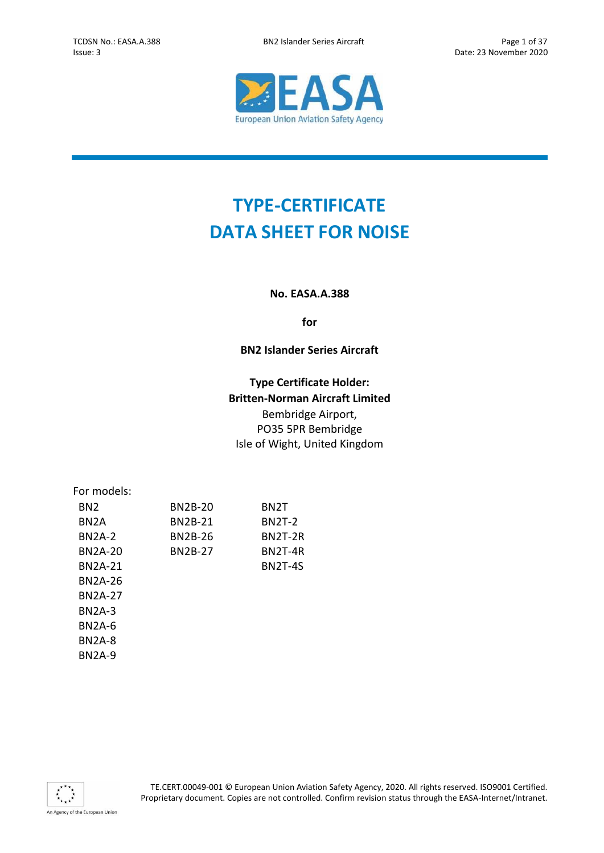

# **TYPE-CERTIFICATE DATA SHEET FOR NOISE**

## **No. EASA.A.388**

**for**

# **BN2 Islander Series Aircraft**

# **Type Certificate Holder: Britten-Norman Aircraft Limited** Bembridge Airport, PO35 5PR Bembridge Isle of Wight, United Kingdom

| For models:       |                |                      |
|-------------------|----------------|----------------------|
| BN2               | BN2B-20        | BN2T                 |
| BN <sub>2</sub> A | <b>BN2B-21</b> | <b>BN2T-2</b>        |
| <b>BN2A-2</b>     | BN2B-26        | BN2T-2R              |
| <b>BN2A-20</b>    | <b>BN2B-27</b> | BN2T-4R              |
| <b>BN2A-21</b>    |                | BN <sub>2</sub> T-4S |
| <b>BN2A-26</b>    |                |                      |
| <b>BN2A-27</b>    |                |                      |
| <b>BN2A-3</b>     |                |                      |
| <b>BN2A-6</b>     |                |                      |
| <b>BN2A-8</b>     |                |                      |
| <b>BN2A-9</b>     |                |                      |

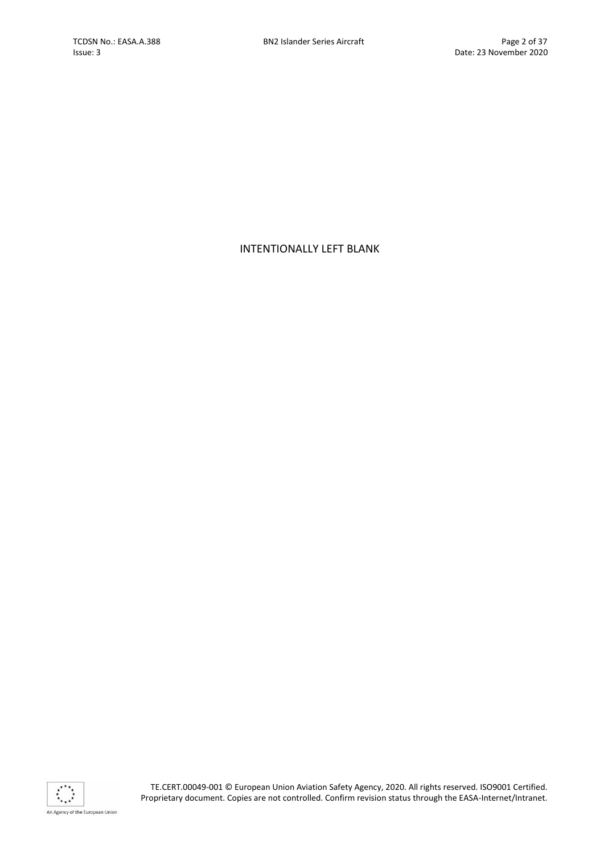# INTENTIONALLY LEFT BLANK

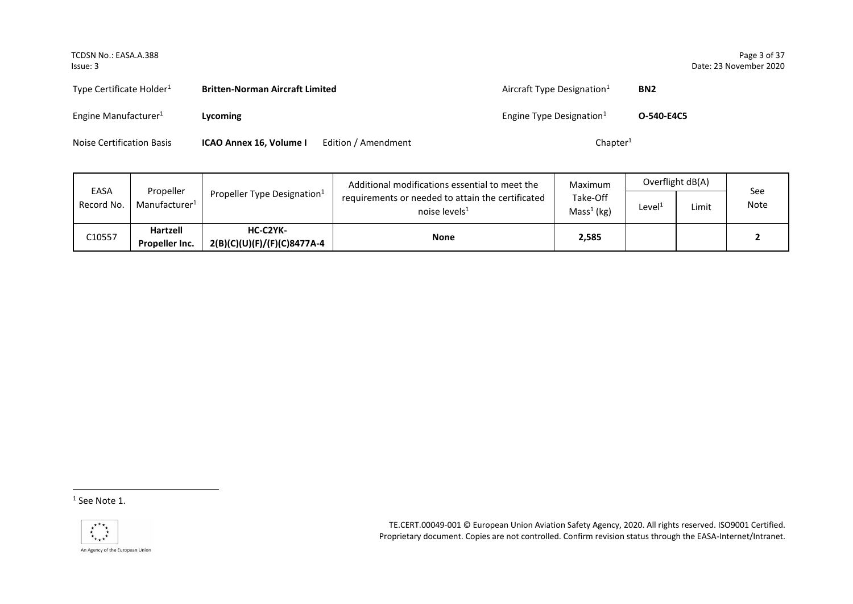| TCDSN No.: EASA.A.388<br>Issue: 3    |                                                |                                        | Page 3 of 37<br>Date: 23 November 2020 |
|--------------------------------------|------------------------------------------------|----------------------------------------|----------------------------------------|
| Type Certificate Holder <sup>1</sup> | <b>Britten-Norman Aircraft Limited</b>         | Aircraft Type Designation <sup>1</sup> | BN <sub>2</sub>                        |
| Engine Manufacturer <sup>1</sup>     | Lycoming                                       | Engine Type Designation <sup>1</sup>   | O-540-E4C5                             |
| <b>Noise Certification Basis</b>     | Edition / Amendment<br>ICAO Annex 16, Volume I | Chapter <sup>1</sup>                   |                                        |

| EASA<br>Propeller |                                   |                                         | Additional modifications essential to meet the                        | Maximum | Overflight dB(A) |       |             |
|-------------------|-----------------------------------|-----------------------------------------|-----------------------------------------------------------------------|---------|------------------|-------|-------------|
| Record No.        | Manufacturer <sup>1</sup>         | Propeller Type Designation <sup>1</sup> | requirements or needed to attain the certificated<br>noise levels $1$ |         | Level'           | Limit | See<br>Note |
| C10557            | Hartzell<br><b>Propeller Inc.</b> | HC-C2YK-<br>2(B)(C)(U)(F)/(F)(C)8477A-4 | <b>None</b>                                                           | 2,585   |                  |       |             |

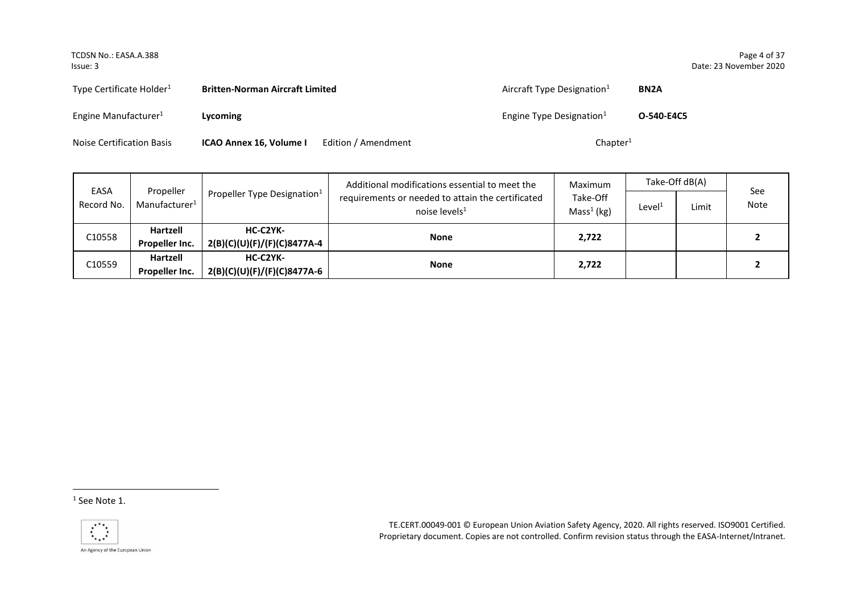| TCDSN No.: EASA.A.388<br>Issue: 3    |                                                |                                        | Page 4 of 37<br>Date: 23 November 2020 |
|--------------------------------------|------------------------------------------------|----------------------------------------|----------------------------------------|
| Type Certificate Holder <sup>1</sup> | <b>Britten-Norman Aircraft Limited</b>         | Aircraft Type Designation <sup>1</sup> | <b>BN2A</b>                            |
| Engine Manufacturer <sup>1</sup>     | Lycoming                                       | Engine Type Designation <sup>1</sup>   | O-540-E4C5                             |
| Noise Certification Basis            | Edition / Amendment<br>ICAO Annex 16, Volume I | Chapter <sup>1</sup>                   |                                        |

|            |                                                                                                                                                                           |                             | Additional modifications essential to meet the | Maximum            | Take-Off dB(A) |  | See<br>Note |
|------------|---------------------------------------------------------------------------------------------------------------------------------------------------------------------------|-----------------------------|------------------------------------------------|--------------------|----------------|--|-------------|
| Record No. | <b>EASA</b><br>Propeller<br>Propeller Type Designation <sup>1</sup><br>requirements or needed to attain the certificated<br>Manufacturer <sup>1</sup><br>noise levels $1$ |                             | Take-Off<br>Mass <sup>1</sup> (kg)             | Level <sup>1</sup> | Limit          |  |             |
| C10558     | Hartzell                                                                                                                                                                  | HC-C2YK-                    | <b>None</b>                                    | 2,722              |                |  |             |
|            | 2(B)(C)(U)(F)/(F)(C)8477A-4<br>Propeller Inc.                                                                                                                             |                             |                                                |                    |                |  |             |
| C10559     | Hartzell                                                                                                                                                                  | HC-C2YK-                    |                                                |                    |                |  |             |
|            | Propeller Inc.                                                                                                                                                            | 2(B)(C)(U)(F)/(F)(C)8477A-6 | <b>None</b>                                    | 2,722              |                |  |             |

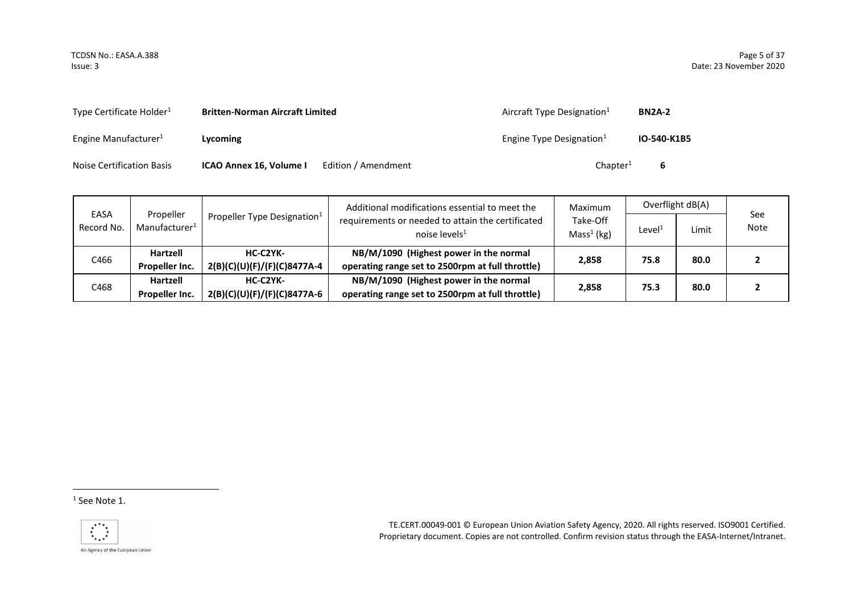| Type Certificate Holder <sup>1</sup><br><b>Britten-Norman Aircraft Limited</b> |                         | Aircraft Type Designation $1$ | <b>BN2A-2</b>                        |             |
|--------------------------------------------------------------------------------|-------------------------|-------------------------------|--------------------------------------|-------------|
| Engine Manufacturer <sup>1</sup>                                               | Lycoming                |                               | Engine Type Designation <sup>1</sup> | IO-540-K1B5 |
| Noise Certification Basis                                                      | ICAO Annex 16, Volume I | Edition / Amendment           | Chapter <sup>1</sup>                 | 6           |

|                    |                                                                                                                                                                     |                             | Additional modifications essential to meet the   | Maximum            | Overflight dB(A) |      | See<br>Note |
|--------------------|---------------------------------------------------------------------------------------------------------------------------------------------------------------------|-----------------------------|--------------------------------------------------|--------------------|------------------|------|-------------|
| EASA<br>Record No. | Propeller<br>Propeller Type Designation <sup>1</sup><br>requirements or needed to attain the certificated<br>Manufacturer <sup>1</sup><br>noise levels <sup>1</sup> |                             | Take-Off<br>$Mass1$ (kg)                         | Level <sup>1</sup> | Limit            |      |             |
| C466               | Hartzell                                                                                                                                                            | HC-C2YK-                    | NB/M/1090 (Highest power in the normal           | 2,858              | 75.8             | 80.0 |             |
|                    | Propeller Inc.                                                                                                                                                      | 2(B)(C)(U)(F)/(F)(C)8477A-4 | operating range set to 2500rpm at full throttle) |                    |                  |      |             |
|                    | Hartzell                                                                                                                                                            | HC-C2YK-                    | NB/M/1090 (Highest power in the normal           |                    | 75.3             | 80.0 |             |
| C468               | Propeller Inc.                                                                                                                                                      | 2(B)(C)(U)(F)/(F)(C)8477A-6 | operating range set to 2500rpm at full throttle) | 2,858              |                  |      |             |

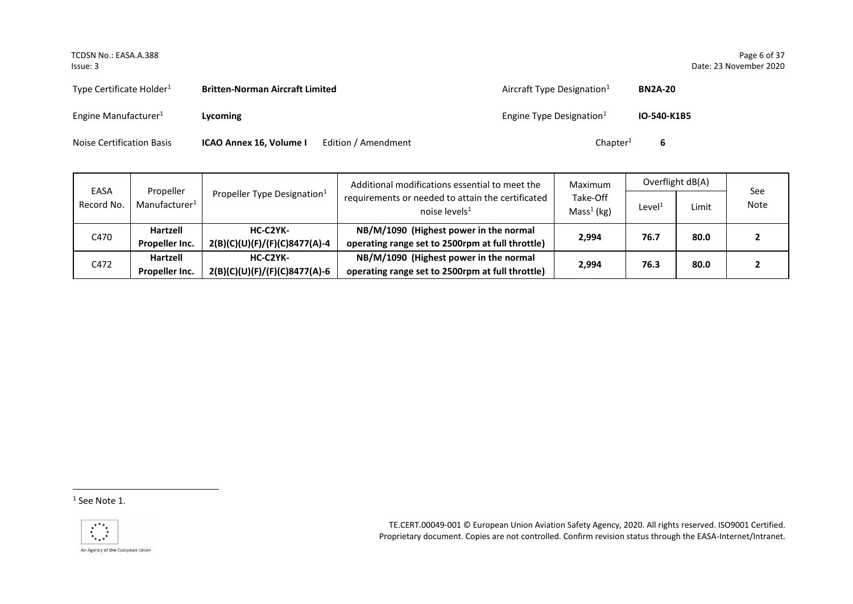| TCDSN No.: EASA.A.388<br>Issue: 3    |                                                |                                        | Page 6 of 37<br>Date: 23 November 2020 |
|--------------------------------------|------------------------------------------------|----------------------------------------|----------------------------------------|
| Type Certificate Holder <sup>1</sup> | <b>Britten-Norman Aircraft Limited</b>         | Aircraft Type Designation <sup>1</sup> | <b>BN2A-20</b>                         |
| Engine Manufacturer <sup>1</sup>     | Lycoming                                       | Engine Type Designation <sup>1</sup>   | IO-540-K1B5                            |
| <b>Noise Certification Basis</b>     | Edition / Amendment<br>ICAO Annex 16, Volume I | Chapter <sup>1</sup>                   | 6                                      |

| <b>EASA</b> |                                        |                                         | Additional modifications essential to meet the                                 | Maximum                            | Overflight dB(A)   |       |             |
|-------------|----------------------------------------|-----------------------------------------|--------------------------------------------------------------------------------|------------------------------------|--------------------|-------|-------------|
| Record No.  | Propeller<br>Manufacturer <sup>1</sup> | Propeller Type Designation <sup>1</sup> | requirements or needed to attain the certificated<br>noise levels <sup>1</sup> | Take-Off<br>Mass <sup>1</sup> (kg) | Level <sup>1</sup> | Limit | See<br>Note |
| C470        | Hartzell                               | HC-C2YK-                                | NB/M/1090 (Highest power in the normal                                         | 2,994                              | 76.7               | 80.0  |             |
|             | Propeller Inc.                         | 2(B)(C)(U)(F)/(F)(C)8477(A)-4           | operating range set to 2500rpm at full throttle)                               |                                    |                    |       |             |
| C472        | Hartzell                               | HC-C2YK-                                | NB/M/1090 (Highest power in the normal                                         | 2,994                              | 76.3               | 80.0  |             |
|             | Propeller Inc.                         | 2(B)(C)(U)(F)/(F)(C)8477(A)-6           | operating range set to 2500rpm at full throttle)                               |                                    |                    |       |             |

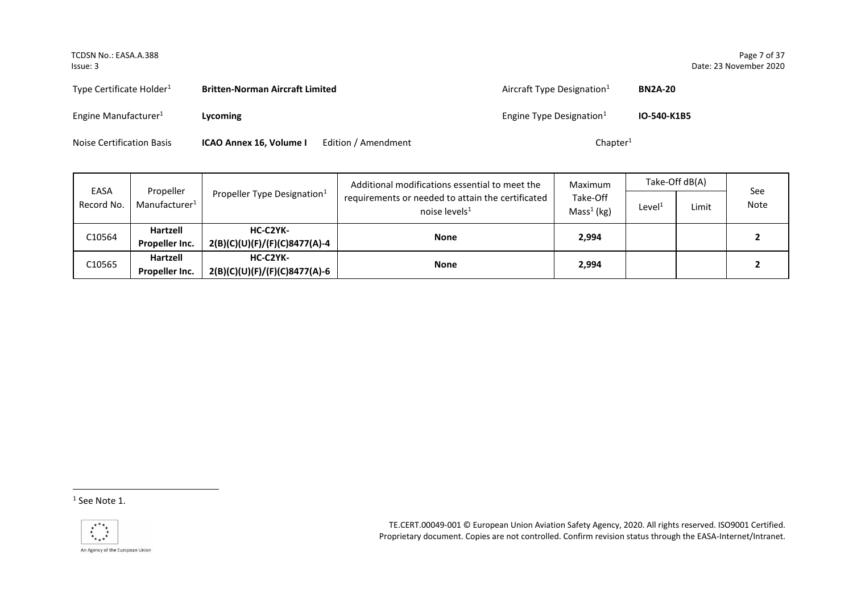| TCDSN No.: EASA.A.388<br>Issue: 3    |                                                |                                        | Page 7 of 37<br>Date: 23 November 2020 |
|--------------------------------------|------------------------------------------------|----------------------------------------|----------------------------------------|
| Type Certificate Holder <sup>1</sup> | <b>Britten-Norman Aircraft Limited</b>         | Aircraft Type Designation <sup>1</sup> | <b>BN2A-20</b>                         |
| Engine Manufacturer <sup>1</sup>     | Lycoming                                       | Engine Type Designation <sup>1</sup>   | IO-540-K1B5                            |
| Noise Certification Basis            | Edition / Amendment<br>ICAO Annex 16, Volume I | Chapter $1$                            |                                        |

| EASA<br>Propeller |                           |                                         | Additional modifications essential to meet the                                 | Maximum | Take-Off dB(A)     |       | See         |
|-------------------|---------------------------|-----------------------------------------|--------------------------------------------------------------------------------|---------|--------------------|-------|-------------|
| Record No.        | Manufacturer <sup>1</sup> | Propeller Type Designation <sup>1</sup> | requirements or needed to attain the certificated<br>noise levels <sup>1</sup> |         | Level <sup>1</sup> | Limit | <b>Note</b> |
| C10564            | Hartzell                  | HC-C2YK-                                |                                                                                | 2,994   |                    |       |             |
|                   | Propeller Inc.            | 2(B)(C)(U)(F)/(F)(C)8477(A)-4           | <b>None</b>                                                                    |         |                    |       |             |
|                   | Hartzell                  | HC-C2YK-                                |                                                                                | 2,994   |                    |       |             |
| C10565            | Propeller Inc.            | 2(B)(C)(U)(F)/(F)(C)8477(A)-6           | <b>None</b>                                                                    |         |                    |       |             |

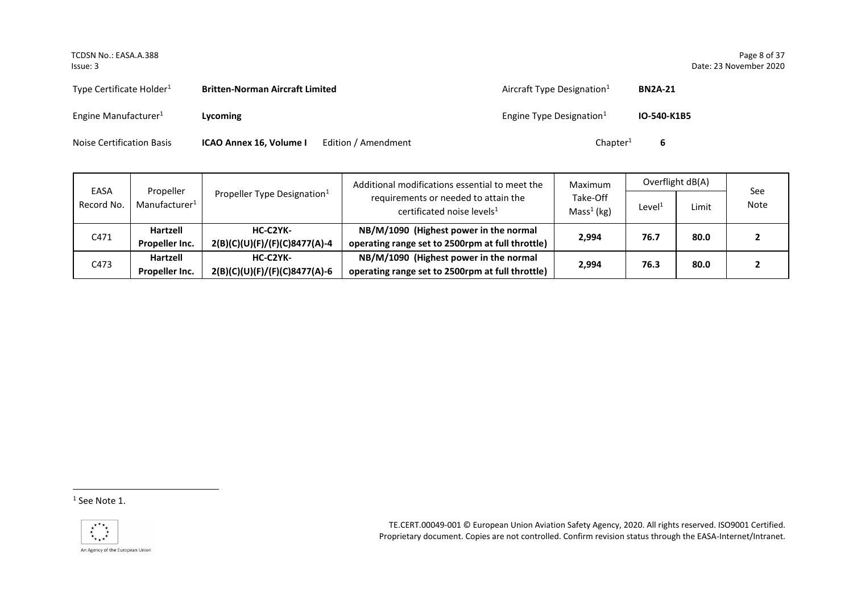| TCDSN No.: EASA.A.388<br>Issue: 3    |                                                |                                        | Page 8 of 37<br>Date: 23 November 2020 |
|--------------------------------------|------------------------------------------------|----------------------------------------|----------------------------------------|
| Type Certificate Holder <sup>1</sup> | <b>Britten-Norman Aircraft Limited</b>         | Aircraft Type Designation <sup>1</sup> | <b>BN2A-21</b>                         |
| Engine Manufacturer <sup>1</sup>     | Lycoming                                       | Engine Type Designation <sup>1</sup>   | IO-540-K1B5                            |
| Noise Certification Basis            | Edition / Amendment<br>ICAO Annex 16, Volume I | Chapter <sup>1</sup>                   | 6                                      |

|                    |                                        |                                         | Additional modifications essential to meet the                                 | Maximum                            | Overflight dB(A)   |       |             |
|--------------------|----------------------------------------|-----------------------------------------|--------------------------------------------------------------------------------|------------------------------------|--------------------|-------|-------------|
| EASA<br>Record No. | Propeller<br>Manufacturer <sup>1</sup> | Propeller Type Designation <sup>1</sup> | requirements or needed to attain the<br>certificated noise levels <sup>1</sup> | Take-Off<br>Mass <sup>1</sup> (kg) | Level <sup>1</sup> | Limit | See<br>Note |
| C471               | Hartzell                               | HC-C2YK-                                | NB/M/1090 (Highest power in the normal                                         |                                    | 76.7               | 80.0  |             |
|                    | Propeller Inc.                         | 2(B)(C)(U)(F)/(F)(C)8477(A)-4           | operating range set to 2500rpm at full throttle)                               | 2,994                              |                    |       |             |
|                    | <b>Hartzell</b>                        | HC-C2YK-                                | NB/M/1090 (Highest power in the normal                                         | 2,994                              | 76.3               | 80.0  |             |
| C473               | Propeller Inc.                         | 2(B)(C)(U)(F)/(F)(C)8477(A)-6           | operating range set to 2500rpm at full throttle)                               |                                    |                    |       |             |

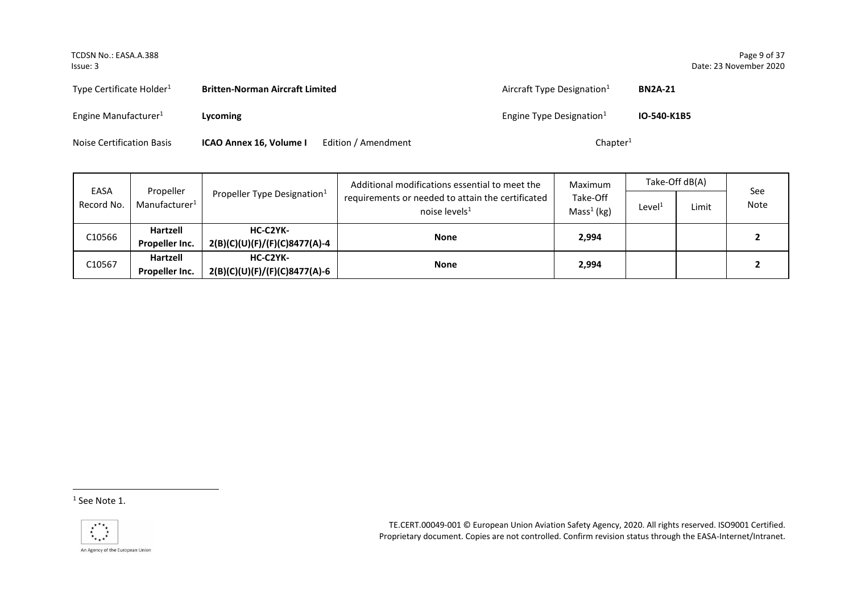| TCDSN No.: EASA.A.388<br>Issue: 3    |                                                |                                        | Page 9 of 37<br>Date: 23 November 2020 |
|--------------------------------------|------------------------------------------------|----------------------------------------|----------------------------------------|
| Type Certificate Holder <sup>1</sup> | <b>Britten-Norman Aircraft Limited</b>         | Aircraft Type Designation <sup>1</sup> | <b>BN2A-21</b>                         |
| Engine Manufacturer <sup>1</sup>     | Lycoming                                       | Engine Type Designation <sup>1</sup>   | IO-540-K1B5                            |
| Noise Certification Basis            | Edition / Amendment<br>ICAO Annex 16, Volume I | Chapter $1$                            |                                        |

| EASA<br>Propeller |                           |                                         | Additional modifications essential to meet the                                 | Maximum | Take-Off dB(A)     |       | See  |
|-------------------|---------------------------|-----------------------------------------|--------------------------------------------------------------------------------|---------|--------------------|-------|------|
| Record No.        | Manufacturer <sup>1</sup> | Propeller Type Designation <sup>1</sup> | requirements or needed to attain the certificated<br>noise levels <sup>1</sup> |         | Level <sup>1</sup> | Limit | Note |
| C10566            | Hartzell                  | HC-C2YK-                                |                                                                                | 2,994   |                    |       |      |
|                   | Propeller Inc.            | 2(B)(C)(U)(F)/(F)(C)8477(A)-4           | <b>None</b>                                                                    |         |                    |       |      |
| C10567            | Hartzell                  | HC-C2YK-                                |                                                                                | 2,994   |                    |       |      |
|                   | Propeller Inc.            | 2(B)(C)(U)(F)/(F)(C)8477(A)-6           | <b>None</b>                                                                    |         |                    |       |      |

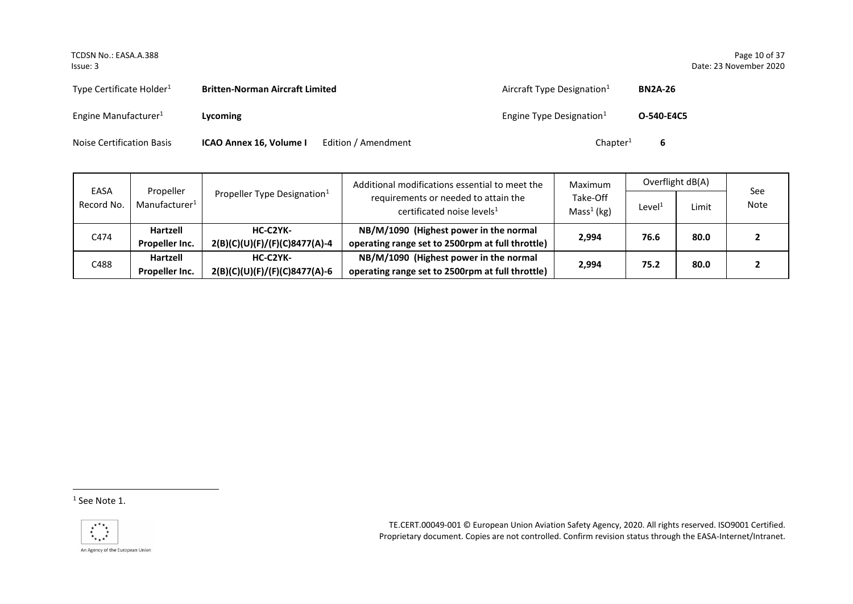| TCDSN No.: EASA.A.388<br>Issue: 3    |                                                |                                        | Page 10 of 37<br>Date: 23 November 2020 |
|--------------------------------------|------------------------------------------------|----------------------------------------|-----------------------------------------|
| Type Certificate Holder <sup>1</sup> | <b>Britten-Norman Aircraft Limited</b>         | Aircraft Type Designation <sup>1</sup> | <b>BN2A-26</b>                          |
| Engine Manufacturer <sup>1</sup>     | Lycoming                                       | Engine Type Designation <sup>1</sup>   | O-540-E4C5                              |
| <b>Noise Certification Basis</b>     | Edition / Amendment<br>ICAO Annex 16, Volume I | Chapter <sup>1</sup>                   | 6                                       |

| EASA<br>Propeller |                           |                                         | Additional modifications essential to meet the                                 | Maximum                            | Overflight dB(A)   |       | See  |
|-------------------|---------------------------|-----------------------------------------|--------------------------------------------------------------------------------|------------------------------------|--------------------|-------|------|
| Record No.        | Manufacturer <sup>1</sup> | Propeller Type Designation <sup>1</sup> | requirements or needed to attain the<br>certificated noise levels <sup>1</sup> | Take-Off<br>Mass <sup>1</sup> (kg) | Level <sup>1</sup> | Limit | Note |
| C474              | Hartzell                  | HC-C2YK-                                | NB/M/1090 (Highest power in the normal                                         |                                    | 76.6               | 80.0  |      |
|                   | Propeller Inc.            | 2(B)(C)(U)(F)/(F)(C)8477(A)-4           | operating range set to 2500rpm at full throttle)                               | 2,994                              |                    |       |      |
|                   | Hartzell                  | HC-C2YK-                                | NB/M/1090 (Highest power in the normal                                         | 2,994                              | 75.2               | 80.0  |      |
| C488              | Propeller Inc.            | 2(B)(C)(U)(F)/(F)(C)8477(A)-6           | operating range set to 2500rpm at full throttle)                               |                                    |                    |       |      |

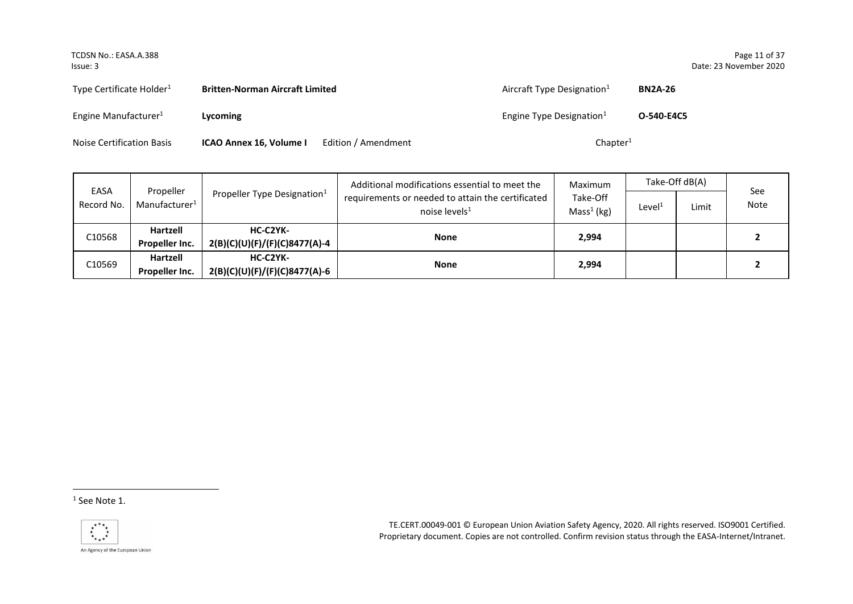| TCDSN No.: EASA.A.388<br>Issue: 3    |                                                |                                        | Page 11 of 37<br>Date: 23 November 2020 |
|--------------------------------------|------------------------------------------------|----------------------------------------|-----------------------------------------|
| Type Certificate Holder <sup>1</sup> | <b>Britten-Norman Aircraft Limited</b>         | Aircraft Type Designation <sup>1</sup> | <b>BN2A-26</b>                          |
| Engine Manufacturer <sup>1</sup>     | Lycoming                                       | Engine Type Designation <sup>1</sup>   | O-540-E4C5                              |
| Noise Certification Basis            | Edition / Amendment<br>ICAO Annex 16, Volume I | Chapter $1$                            |                                         |

| <b>EASA</b><br>Propeller |                           |                                         | Additional modifications essential to meet the                        | <b>Maximum</b>                     | Take-Off dB(A)     |       | See  |
|--------------------------|---------------------------|-----------------------------------------|-----------------------------------------------------------------------|------------------------------------|--------------------|-------|------|
| Record No.               | Manufacturer <sup>1</sup> | Propeller Type Designation <sup>1</sup> | requirements or needed to attain the certificated<br>noise levels $1$ | Take-Off<br>Mass <sup>1</sup> (kg) | Level <sup>1</sup> | Limit | Note |
| C10568                   | Hartzell                  | HC-C2YK-                                |                                                                       | 2,994                              |                    |       |      |
|                          | Propeller Inc.            | 2(B)(C)(U)(F)/(F)(C)8477(A)-4           | <b>None</b>                                                           |                                    |                    |       |      |
| C10569                   | Hartzell                  | HC-C2YK-                                | <b>None</b>                                                           | 2,994                              |                    |       |      |
|                          | Propeller Inc.            | 2(B)(C)(U)(F)/(F)(C)8477(A)-6           |                                                                       |                                    |                    |       |      |

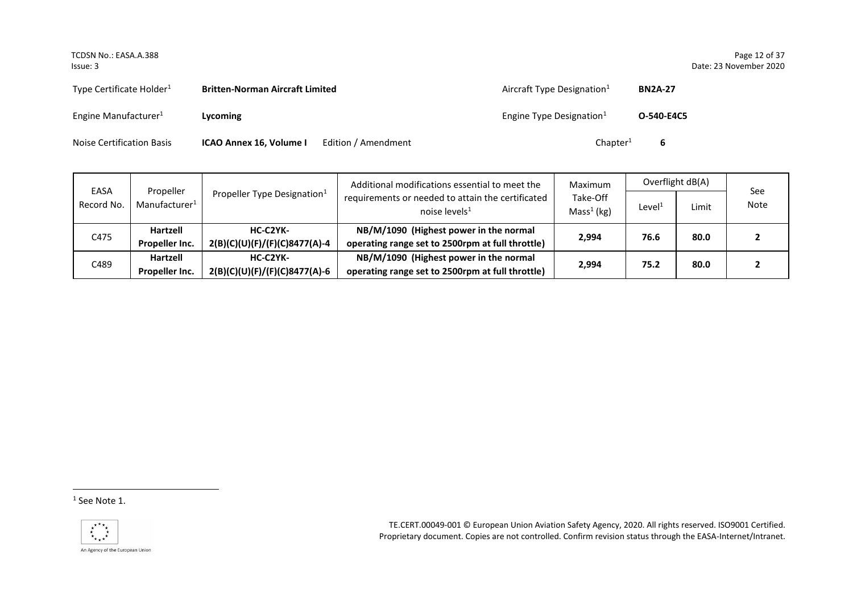| TCDSN No.: EASA.A.388<br>Issue: 3    |                                                |                                        | Page 12 of 37<br>Date: 23 November 2020 |
|--------------------------------------|------------------------------------------------|----------------------------------------|-----------------------------------------|
| Type Certificate Holder <sup>1</sup> | <b>Britten-Norman Aircraft Limited</b>         | Aircraft Type Designation <sup>1</sup> | <b>BN2A-27</b>                          |
| Engine Manufacturer <sup>1</sup>     | Lycoming                                       | Engine Type Designation <sup>1</sup>   | O-540-E4C5                              |
| Noise Certification Basis            | Edition / Amendment<br>ICAO Annex 16, Volume I | Chapter <sup>1</sup>                   | 6                                       |

| <b>EASA</b> |                                        |                                         | Additional modifications essential to meet the                                 | Maximum                            | Overflight dB(A)   |       |             |
|-------------|----------------------------------------|-----------------------------------------|--------------------------------------------------------------------------------|------------------------------------|--------------------|-------|-------------|
| Record No.  | Propeller<br>Manufacturer <sup>1</sup> | Propeller Type Designation <sup>1</sup> | requirements or needed to attain the certificated<br>noise levels <sup>1</sup> | Take-Off<br>Mass <sup>1</sup> (kg) | Level <sup>1</sup> | Limit | See<br>Note |
| C475        | Hartzell                               | HC-C2YK-                                | NB/M/1090 (Highest power in the normal                                         | 2,994                              | 76.6               | 80.0  |             |
|             | Propeller Inc.                         | 2(B)(C)(U)(F)/(F)(C)8477(A)-4           | operating range set to 2500rpm at full throttle)                               |                                    |                    |       |             |
|             | Hartzell                               | HC-C2YK-                                | NB/M/1090 (Highest power in the normal                                         | 2,994                              | 75.2               | 80.0  |             |
| C489        | Propeller Inc.                         | $2(B)(C)(U)(F)/(F)(C)8477(A)-6$         | operating range set to 2500rpm at full throttle)                               |                                    |                    |       |             |

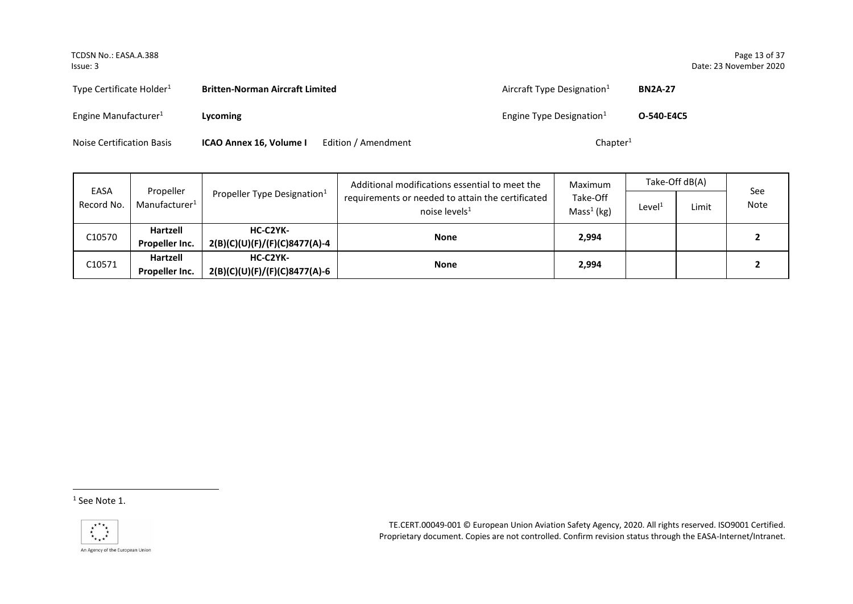| TCDSN No.: EASA.A.388<br>Issue: 3    |                                                |                                        | Page 13 of 37<br>Date: 23 November 2020 |
|--------------------------------------|------------------------------------------------|----------------------------------------|-----------------------------------------|
| Type Certificate Holder <sup>1</sup> | <b>Britten-Norman Aircraft Limited</b>         | Aircraft Type Designation <sup>1</sup> | <b>BN2A-27</b>                          |
| Engine Manufacturer <sup>1</sup>     | Lycoming                                       | Engine Type Designation $1$            | O-540-E4C5                              |
| Noise Certification Basis            | Edition / Amendment<br>ICAO Annex 16, Volume I | Chapter <sup>1</sup>                   |                                         |

| EASA<br>Propeller |                           |                                         | Additional modifications essential to meet the                        | Maximum                            | Take-Off dB(A)     |       | See  |
|-------------------|---------------------------|-----------------------------------------|-----------------------------------------------------------------------|------------------------------------|--------------------|-------|------|
| Record No.        | Manufacturer <sup>1</sup> | Propeller Type Designation <sup>1</sup> | requirements or needed to attain the certificated<br>noise levels $1$ | Take-Off<br>Mass <sup>1</sup> (kg) | Level <sup>1</sup> | Limit | Note |
| C10570            | Hartzell                  | HC-C2YK-                                |                                                                       | 2,994                              |                    |       |      |
|                   | Propeller Inc.            | 2(B)(C)(U)(F)/(F)(C)8477(A)-4           | <b>None</b>                                                           |                                    |                    |       |      |
| C10571            | Hartzell                  | HC-C2YK-                                |                                                                       | 2,994                              |                    |       |      |
|                   | Propeller Inc.            | 2(B)(C)(U)(F)/(F)(C)8477(A)-6           | <b>None</b>                                                           |                                    |                    |       |      |

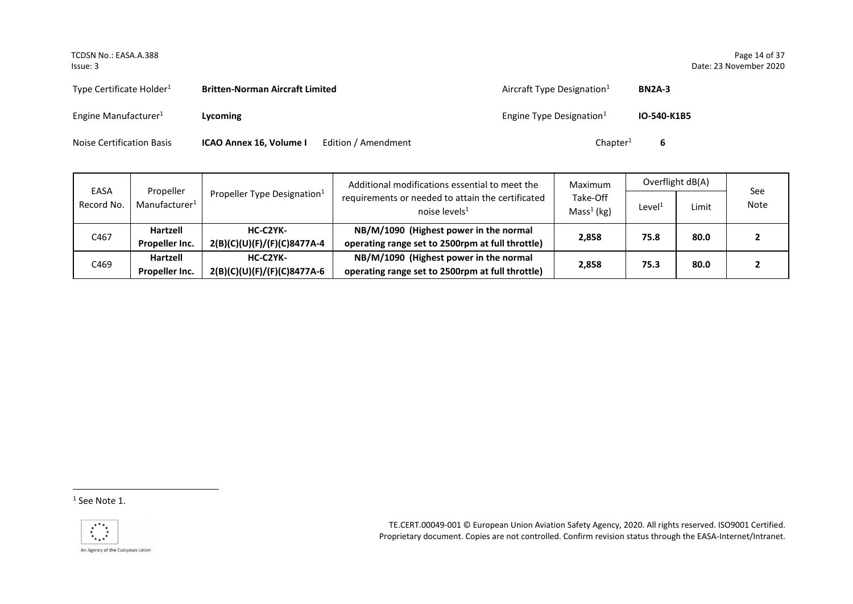| TCDSN No.: EASA.A.388<br>Issue: 3    |                                                |                                        | Page 14 of 37<br>Date: 23 November 2020 |
|--------------------------------------|------------------------------------------------|----------------------------------------|-----------------------------------------|
| Type Certificate Holder <sup>1</sup> | <b>Britten-Norman Aircraft Limited</b>         | Aircraft Type Designation <sup>1</sup> | <b>BN2A-3</b>                           |
| Engine Manufacturer <sup>1</sup>     | Lycoming                                       | Engine Type Designation <sup>1</sup>   | IO-540-K1B5                             |
| <b>Noise Certification Basis</b>     | Edition / Amendment<br>ICAO Annex 16, Volume I | Chapter <sup>1</sup>                   | 6                                       |

| EASA       | Propeller                 |                                         | Additional modifications essential to meet the                                 | Maximum                            | Overflight dB(A)   |       | See  |
|------------|---------------------------|-----------------------------------------|--------------------------------------------------------------------------------|------------------------------------|--------------------|-------|------|
| Record No. | Manufacturer <sup>1</sup> | Propeller Type Designation <sup>1</sup> | requirements or needed to attain the certificated<br>noise levels <sup>1</sup> | Take-Off<br>Mass <sup>1</sup> (kg) | Level <sup>1</sup> | Limit | Note |
| C467       | Hartzell                  | HC-C2YK-                                | NB/M/1090 (Highest power in the normal                                         | 2,858                              | 75.8               | 80.0  |      |
|            | Propeller Inc.            | 2(B)(C)(U)(F)/(F)(C)8477A-4             | operating range set to 2500rpm at full throttle)                               |                                    |                    |       |      |
| C469       | Hartzell                  | HC-C2YK-                                | NB/M/1090 (Highest power in the normal                                         | 2,858                              | 75.3               | 80.0  |      |
|            | Propeller Inc.            | 2(B)(C)(U)(F)/(F)(C)8477A-6             | operating range set to 2500rpm at full throttle)                               |                                    |                    |       |      |

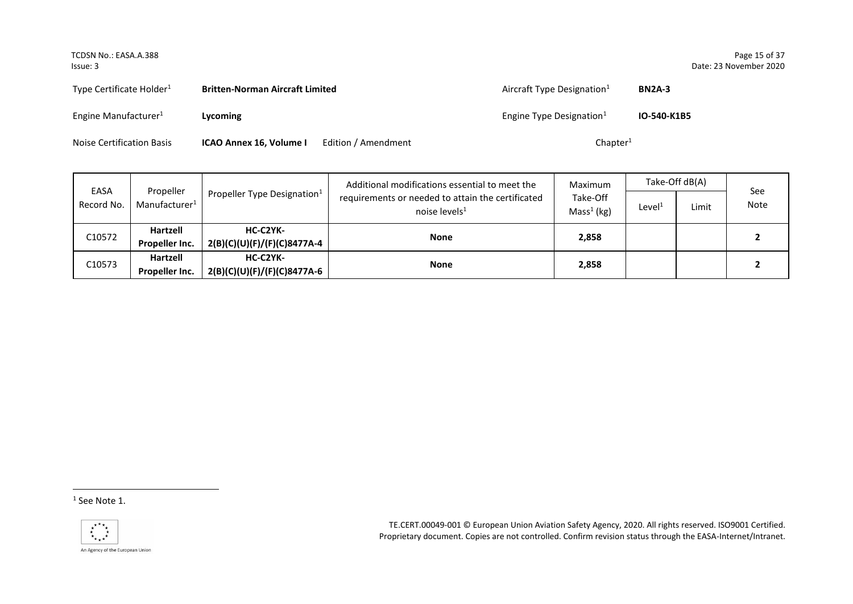| TCDSN No.: EASA.A.388<br>Issue: 3    |                                                |                                        | Page 15 of 37<br>Date: 23 November 2020 |
|--------------------------------------|------------------------------------------------|----------------------------------------|-----------------------------------------|
| Type Certificate Holder <sup>1</sup> | <b>Britten-Norman Aircraft Limited</b>         | Aircraft Type Designation <sup>1</sup> | <b>BN2A-3</b>                           |
| Engine Manufacturer <sup>1</sup>     | Lycoming                                       | Engine Type Designation <sup>1</sup>   | IO-540-K1B5                             |
| Noise Certification Basis            | Edition / Amendment<br>ICAO Annex 16, Volume I | Chapter $1$                            |                                         |

| EASA       |                                        |                                         | Additional modifications essential to meet the                        | <b>Maximum</b>                     | Take-Off dB(A)     |       | See  |
|------------|----------------------------------------|-----------------------------------------|-----------------------------------------------------------------------|------------------------------------|--------------------|-------|------|
| Record No. | Propeller<br>Manufacturer <sup>1</sup> | Propeller Type Designation <sup>1</sup> | requirements or needed to attain the certificated<br>noise levels $1$ | Take-Off<br>Mass <sup>1</sup> (kg) | Level <sup>1</sup> | Limit | Note |
| C10572     | Hartzell                               | HC-C2YK-                                | <b>None</b>                                                           | 2,858                              |                    |       |      |
|            | Propeller Inc.                         | 2(B)(C)(U)(F)/(F)(C)8477A-4             |                                                                       |                                    |                    |       |      |
|            | Hartzell                               | HC-C2YK-                                |                                                                       | 2,858                              |                    |       |      |
| C10573     | Propeller Inc.                         | 2(B)(C)(U)(F)/(F)(C)8477A-6             | <b>None</b>                                                           |                                    |                    |       |      |

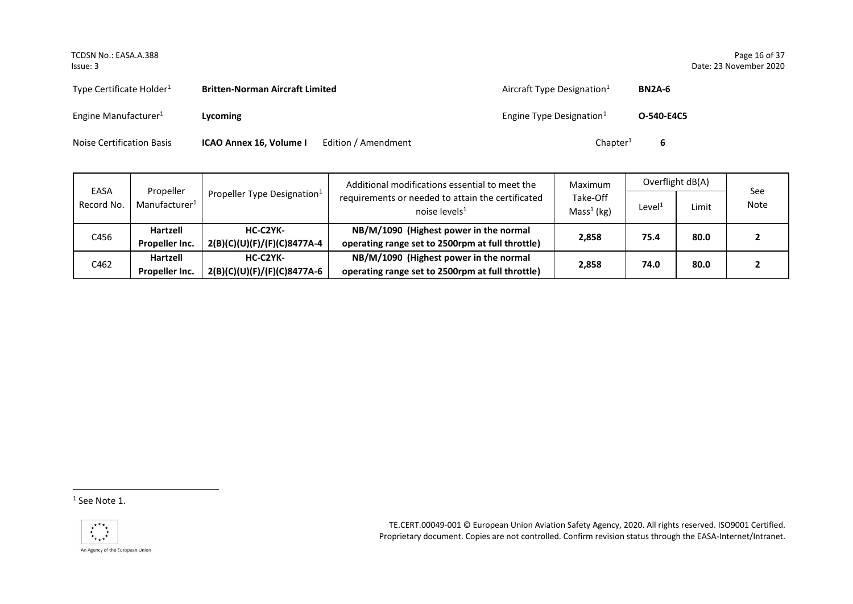| TCDSN No.: EASA.A.388<br>Issue: 3    |                                                |                                        | Page 16 of 37<br>Date: 23 November 2020 |
|--------------------------------------|------------------------------------------------|----------------------------------------|-----------------------------------------|
| Type Certificate Holder <sup>1</sup> | <b>Britten-Norman Aircraft Limited</b>         | Aircraft Type Designation <sup>1</sup> | <b>BN2A-6</b>                           |
| Engine Manufacturer <sup>1</sup>     | Lycoming                                       | Engine Type Designation <sup>1</sup>   | O-540-E4C5                              |
| <b>Noise Certification Basis</b>     | Edition / Amendment<br>ICAO Annex 16, Volume I | Chapter <sup>1</sup>                   | 6                                       |

| EASA       | Propeller                 |                                         | Additional modifications essential to meet the                                 | Maximum                            | Overflight dB(A)   |       | See  |
|------------|---------------------------|-----------------------------------------|--------------------------------------------------------------------------------|------------------------------------|--------------------|-------|------|
| Record No. | Manufacturer <sup>1</sup> | Propeller Type Designation <sup>1</sup> | requirements or needed to attain the certificated<br>noise levels <sup>1</sup> | Take-Off<br>Mass <sup>1</sup> (kg) | Level <sup>1</sup> | Limit | Note |
| C456       | Hartzell                  | HC-C2YK-                                | NB/M/1090 (Highest power in the normal                                         | 2,858                              | 75.4               | 80.0  |      |
|            | Propeller Inc.            | 2(B)(C)(U)(F)/(F)(C)8477A-4             | operating range set to 2500rpm at full throttle)                               |                                    |                    |       |      |
| C462       | Hartzell                  | HC-C2YK-                                | NB/M/1090 (Highest power in the normal                                         | 2,858                              | 74.0               | 80.0  |      |
|            | Propeller Inc.            | 2(B)(C)(U)(F)/(F)(C)8477A-6             | operating range set to 2500rpm at full throttle)                               |                                    |                    |       |      |

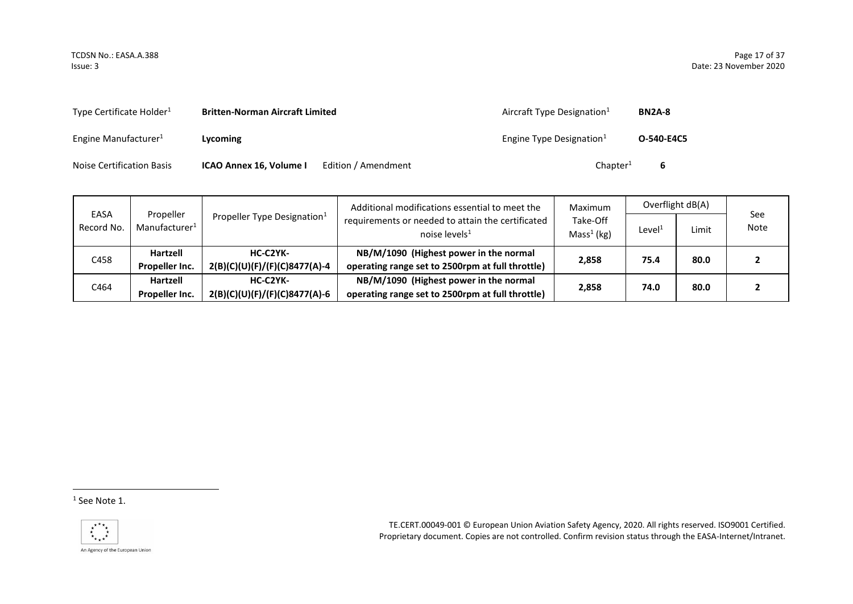| Type Certificate Holder <sup>1</sup><br><b>Britten-Norman Aircraft Limited</b> |                                | Aircraft Type Designation $1$ | <b>BN2A-8</b>                        |            |
|--------------------------------------------------------------------------------|--------------------------------|-------------------------------|--------------------------------------|------------|
| Engine Manufacturer <sup>1</sup>                                               | Lycoming                       |                               | Engine Type Designation <sup>1</sup> | O-540-E4C5 |
| Noise Certification Basis                                                      | <b>ICAO Annex 16, Volume I</b> | Edition / Amendment           | Chapter <sup>1</sup>                 | 6          |

| EASA       | Propeller                 |                                         | Additional modifications essential to meet the                                 | Maximum                  | Overflight dB(A) |       | See  |
|------------|---------------------------|-----------------------------------------|--------------------------------------------------------------------------------|--------------------------|------------------|-------|------|
| Record No. | Manufacturer <sup>1</sup> | Propeller Type Designation <sup>1</sup> | requirements or needed to attain the certificated<br>noise levels <sup>1</sup> | Take-Off<br>$Mass1$ (kg) | Level $^1$       | Limit | Note |
| C458       | Hartzell                  | HC-C2YK-                                | NB/M/1090 (Highest power in the normal                                         | 2,858                    | 75.4             | 80.0  |      |
|            | Propeller Inc.            | 2(B)(C)(U)(F)/(F)(C)8477(A)-4           | operating range set to 2500rpm at full throttle)                               |                          |                  |       |      |
|            | Hartzell                  | HC-C2YK-                                | NB/M/1090 (Highest power in the normal                                         |                          | 74.0             | 80.0  |      |
| C464       | Propeller Inc.            | 2(B)(C)(U)(F)/(F)(C)8477(A)-6           | operating range set to 2500rpm at full throttle)                               |                          | 2,858            |       |      |

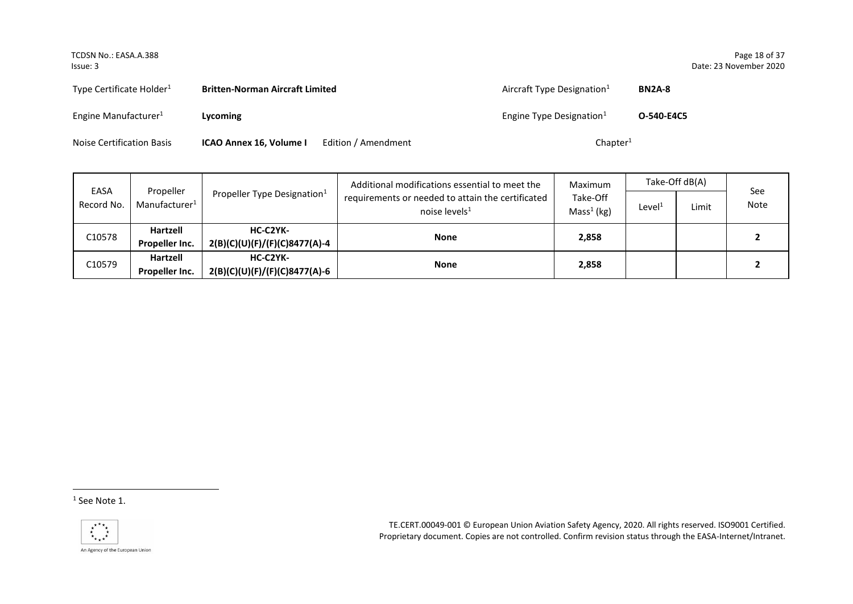| TCDSN No.: EASA.A.388<br>Issue: 3    |                                                |                                        | Page 18 of 37<br>Date: 23 November 2020 |
|--------------------------------------|------------------------------------------------|----------------------------------------|-----------------------------------------|
| Type Certificate Holder <sup>1</sup> | <b>Britten-Norman Aircraft Limited</b>         | Aircraft Type Designation <sup>1</sup> | <b>BN2A-8</b>                           |
| Engine Manufacturer <sup>1</sup>     | Lycoming                                       | Engine Type Designation $1$            | O-540-E4C5                              |
| Noise Certification Basis            | Edition / Amendment<br>ICAO Annex 16, Volume I | Chapter <sup>1</sup>                   |                                         |

| EASA<br>Propeller |                           |                                         | Additional modifications essential to meet the                                 | Maximum                            | Take-Off dB(A)     |       | See  |
|-------------------|---------------------------|-----------------------------------------|--------------------------------------------------------------------------------|------------------------------------|--------------------|-------|------|
| Record No.        | Manufacturer <sup>1</sup> | Propeller Type Designation <sup>1</sup> | requirements or needed to attain the certificated<br>noise levels <sup>1</sup> | Take-Off<br>Mass <sup>1</sup> (kg) | Level <sup>1</sup> | .imit | Note |
| C10578            | Hartzell                  | HC-C2YK-                                |                                                                                | 2,858                              |                    |       |      |
|                   | Propeller Inc.            | 2(B)(C)(U)(F)/(F)(C)8477(A)-4           | <b>None</b>                                                                    |                                    |                    |       |      |
| C10579            | Hartzell                  | HC-C2YK-                                | <b>None</b>                                                                    | 2,858                              |                    |       |      |
|                   | Propeller Inc.            | 2(B)(C)(U)(F)/(F)(C)8477(A)-6           |                                                                                |                                    |                    |       |      |

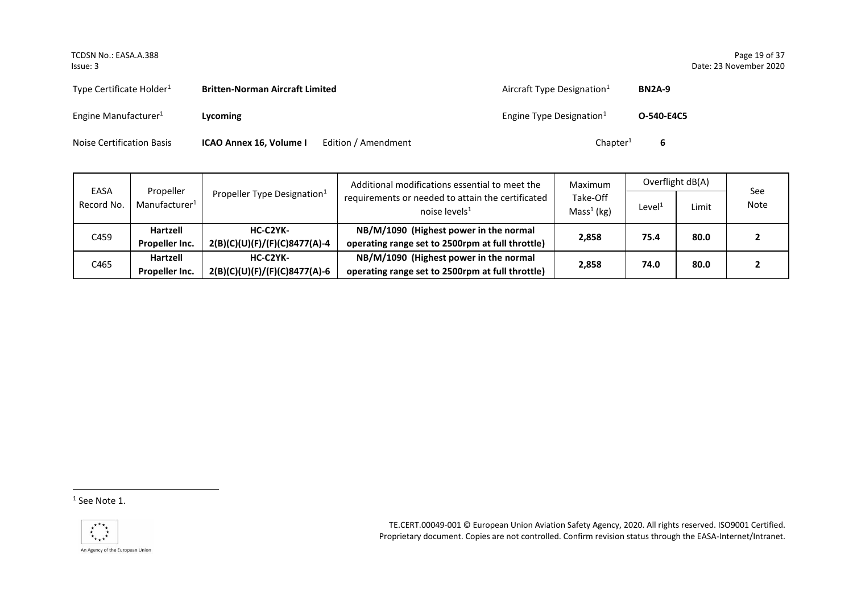| TCDSN No.: EASA.A.388<br>Issue: 3    |                                                |                                        | Page 19 of 37<br>Date: 23 November 2020 |
|--------------------------------------|------------------------------------------------|----------------------------------------|-----------------------------------------|
| Type Certificate Holder <sup>1</sup> | <b>Britten-Norman Aircraft Limited</b>         | Aircraft Type Designation <sup>1</sup> | <b>BN2A-9</b>                           |
| Engine Manufacturer <sup>1</sup>     | Lycoming                                       | Engine Type Designation <sup>1</sup>   | O-540-E4C5                              |
| Noise Certification Basis            | Edition / Amendment<br>ICAO Annex 16, Volume I | Chapter <sup>1</sup>                   | 6                                       |

| <b>EASA</b> | Propeller                                                                                           |                                         | Additional modifications essential to meet the                                 | Maximum                            | Overflight dB(A)   |       | See  |  |
|-------------|-----------------------------------------------------------------------------------------------------|-----------------------------------------|--------------------------------------------------------------------------------|------------------------------------|--------------------|-------|------|--|
| Record No.  | Manufacturer <sup>1</sup>                                                                           | Propeller Type Designation <sup>1</sup> | requirements or needed to attain the certificated<br>noise levels <sup>1</sup> | Take-Off<br>Mass <sup>1</sup> (kg) | Level <sup>1</sup> | Limit | Note |  |
| C459        | Hartzell                                                                                            | HC-C2YK-                                | NB/M/1090 (Highest power in the normal                                         | 2,858                              | 75.4               | 80.0  |      |  |
|             | Propeller Inc.                                                                                      | 2(B)(C)(U)(F)/(F)(C)8477(A)-4           | operating range set to 2500rpm at full throttle)                               |                                    |                    |       |      |  |
| C465        | Hartzell                                                                                            | HC-C2YK-                                | NB/M/1090 (Highest power in the normal                                         | 2,858                              | 74.0               | 80.0  |      |  |
|             | 2(B)(C)(U)(F)/(F)(C)8477(A)-6<br>operating range set to 2500rpm at full throttle)<br>Propeller Inc. |                                         |                                                                                |                                    |                    |       |      |  |

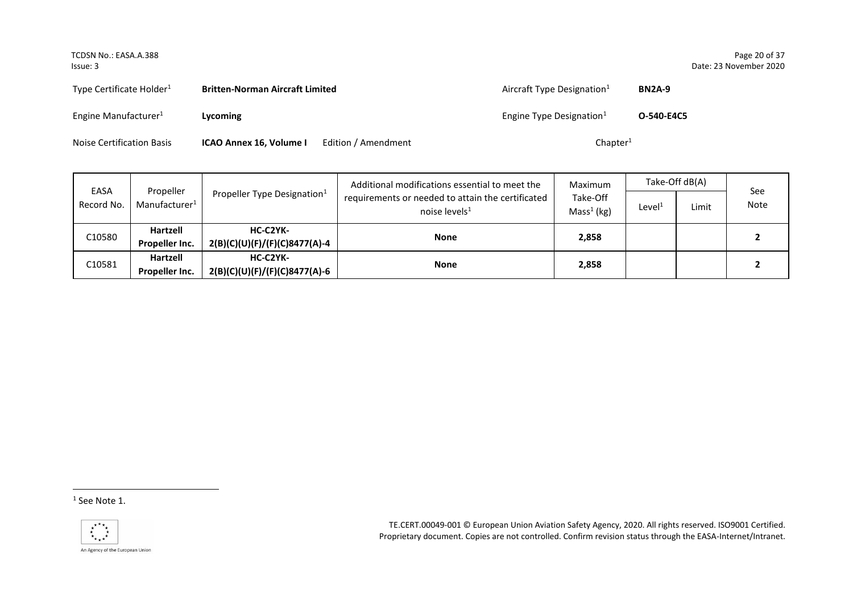| TCDSN No.: EASA.A.388<br>Issue: 3    |                                                |                                        | Page 20 of 37<br>Date: 23 November 2020 |
|--------------------------------------|------------------------------------------------|----------------------------------------|-----------------------------------------|
| Type Certificate Holder <sup>1</sup> | <b>Britten-Norman Aircraft Limited</b>         | Aircraft Type Designation <sup>1</sup> | <b>BN2A-9</b>                           |
| Engine Manufacturer <sup>1</sup>     | Lycoming                                       | Engine Type Designation $1$            | O-540-E4C5                              |
| Noise Certification Basis            | Edition / Amendment<br>ICAO Annex 16, Volume I | Chapter <sup>1</sup>                   |                                         |

|            |                                                                                                                                                                           |                               | Additional modifications essential to meet the | Maximum            | Take-Off dB(A) |  | See<br>Note |
|------------|---------------------------------------------------------------------------------------------------------------------------------------------------------------------------|-------------------------------|------------------------------------------------|--------------------|----------------|--|-------------|
| Record No. | <b>EASA</b><br>Propeller<br>Propeller Type Designation <sup>1</sup><br>requirements or needed to attain the certificated<br>Manufacturer <sup>1</sup><br>noise levels $1$ |                               | Take-Off<br>Mass <sup>1</sup> (kg)             | Level <sup>1</sup> | Limit          |  |             |
| C10580     | Hartzell                                                                                                                                                                  | HC-C2YK-                      |                                                | 2,858              |                |  |             |
|            | Propeller Inc.                                                                                                                                                            | 2(B)(C)(U)(F)/(F)(C)8477(A)-4 | <b>None</b>                                    |                    |                |  |             |
|            | Hartzell                                                                                                                                                                  | HC-C2YK-                      | <b>None</b>                                    | 2,858              |                |  |             |
| C10581     | <b>Propeller Inc.</b>                                                                                                                                                     | 2(B)(C)(U)(F)/(F)(C)8477(A)-6 |                                                |                    |                |  |             |

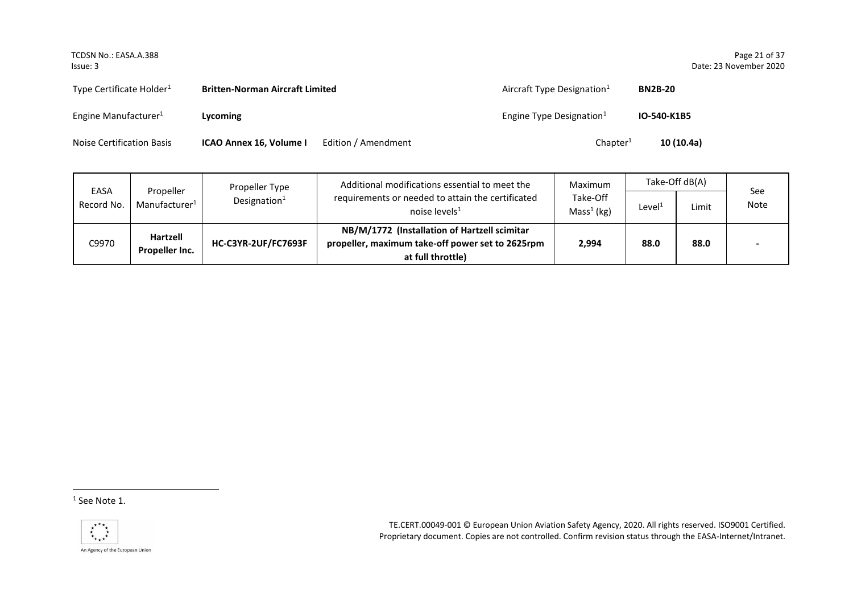| TCDSN No.: EASA.A.388<br>Issue: 3    |                                                |                                        | Page 21 of 37<br>Date: 23 November 2020 |
|--------------------------------------|------------------------------------------------|----------------------------------------|-----------------------------------------|
| Type Certificate Holder <sup>1</sup> | <b>Britten-Norman Aircraft Limited</b>         | Aircraft Type Designation <sup>1</sup> | <b>BN2B-20</b>                          |
| Engine Manufacturer <sup>1</sup>     | Lycoming                                       | Engine Type Designation <sup>1</sup>   | IO-540-K1B5                             |
| Noise Certification Basis            | Edition / Amendment<br>ICAO Annex 16, Volume I | Chapter $1$                            | 10 (10.4a)                              |

| EASA       | Propeller                  | Propeller Type      | Additional modifications essential to meet the                                                                        |                          | Take-Off dB(A)     |       | See         |
|------------|----------------------------|---------------------|-----------------------------------------------------------------------------------------------------------------------|--------------------------|--------------------|-------|-------------|
| Record No. | Manufacturer <sup>1</sup>  | Designation $1$     | requirements or needed to attain the certificated<br>noise levels $1$                                                 | Take-Off<br>$Mass1$ (kg) | Level <sup>1</sup> | Limit | <b>Note</b> |
| C9970      | Hartzell<br>Propeller Inc. | HC-C3YR-2UF/FC7693F | NB/M/1772 (Installation of Hartzell scimitar<br>propeller, maximum take-off power set to 2625rpm<br>at full throttle) | 2,994                    | 88.0               | 88.0  |             |

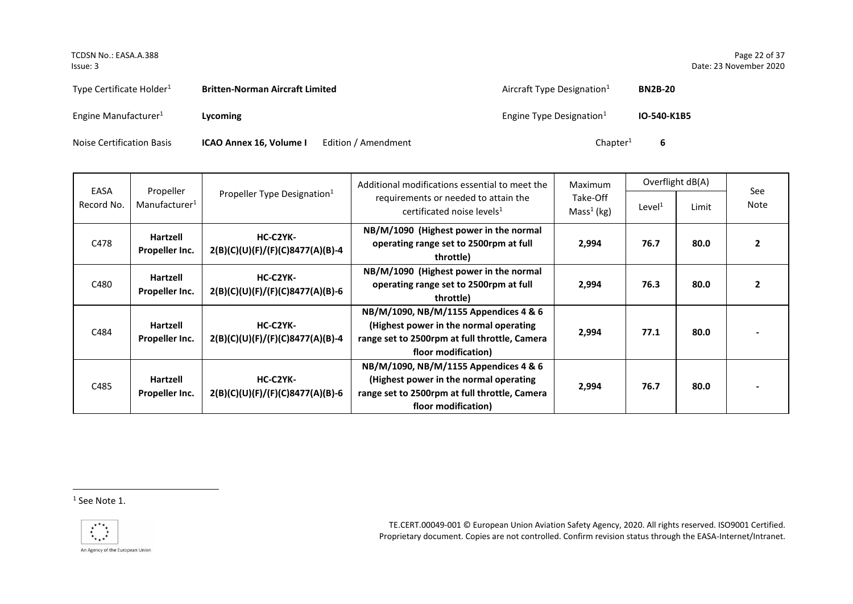| TCDSN No.: EASA.A.388<br>Issue: 3    |                                                |                                        | Page 22 of 37<br>Date: 23 November 2020 |
|--------------------------------------|------------------------------------------------|----------------------------------------|-----------------------------------------|
| Type Certificate Holder <sup>1</sup> | <b>Britten-Norman Aircraft Limited</b>         | Aircraft Type Designation <sup>1</sup> | <b>BN2B-20</b>                          |
| Engine Manufacturer <sup>1</sup>     | Lycoming                                       | Engine Type Designation $1$            | IO-540-K1B5                             |
| Noise Certification Basis            | Edition / Amendment<br>ICAO Annex 16, Volume I | Chapter <sup>1</sup>                   | 6                                       |

| EASA       |                                        |                                                | Additional modifications essential to meet the                                                                                                          | Maximum                            |                    | Overflight dB(A) |                    |
|------------|----------------------------------------|------------------------------------------------|---------------------------------------------------------------------------------------------------------------------------------------------------------|------------------------------------|--------------------|------------------|--------------------|
| Record No. | Propeller<br>Manufacturer <sup>1</sup> | Propeller Type Designation <sup>1</sup>        | requirements or needed to attain the<br>certificated noise levels <sup>1</sup>                                                                          | Take-Off<br>Mass <sup>1</sup> (kg) | Level <sup>1</sup> | Limit            | See<br><b>Note</b> |
| C478       | Hartzell<br>Propeller Inc.             | HC-C2YK-<br>2(B)(C)(U)(F)/(F)(C)8477(A)(B)-4   | NB/M/1090 (Highest power in the normal<br>operating range set to 2500rpm at full<br>throttle)                                                           | 2,994                              | 76.7               | 80.0             | 2                  |
| C480       | Hartzell<br>Propeller Inc.             | HC-C2YK-<br>$2(B)(C)(U)(F)/(F)(C)8477(A)(B)-6$ | NB/M/1090 (Highest power in the normal<br>operating range set to 2500rpm at full<br>throttle)                                                           | 2,994                              | 76.3               | 80.0             |                    |
| C484       | Hartzell<br>Propeller Inc.             | HC-C2YK-<br>$2(B)(C)(U)(F)/(F)(C)8477(A)(B)-4$ | NB/M/1090, NB/M/1155 Appendices 4 & 6<br>(Highest power in the normal operating<br>range set to 2500rpm at full throttle, Camera<br>floor modification) | 2,994                              | 77.1               | 80.0             |                    |
| C485       | Hartzell<br>Propeller Inc.             | HC-C2YK-<br>$2(B)(C)(U)(F)/(F)(C)8477(A)(B)-6$ | NB/M/1090, NB/M/1155 Appendices 4 & 6<br>(Highest power in the normal operating<br>range set to 2500rpm at full throttle, Camera<br>floor modification) | 2,994                              | 76.7               | 80.0             |                    |

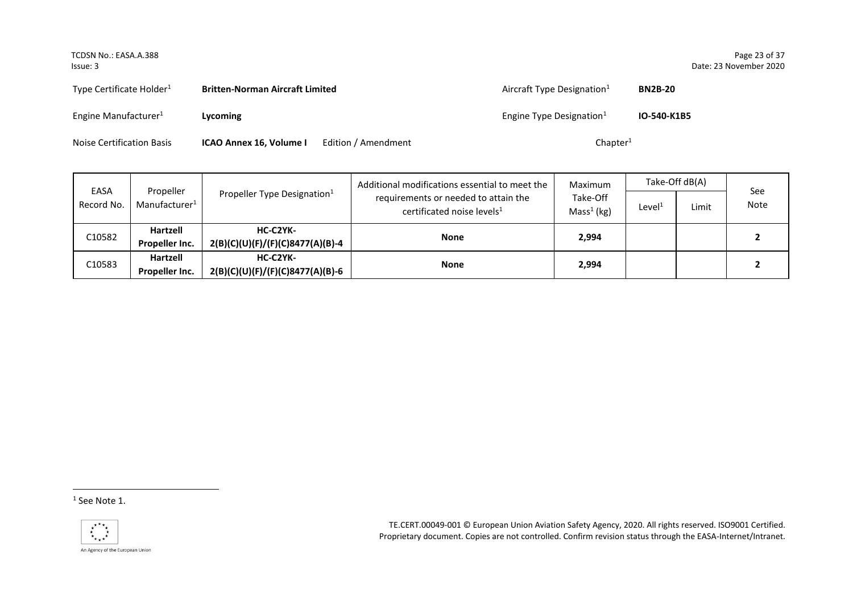| TCDSN No.: EASA.A.388<br>Issue: 3    |                                                |                                        | Page 23 of 37<br>Date: 23 November 2020 |
|--------------------------------------|------------------------------------------------|----------------------------------------|-----------------------------------------|
| Type Certificate Holder <sup>1</sup> | <b>Britten-Norman Aircraft Limited</b>         | Aircraft Type Designation <sup>1</sup> | <b>BN2B-20</b>                          |
| Engine Manufacturer <sup>1</sup>     | Lycoming                                       | Engine Type Designation <sup>1</sup>   | IO-540-K1B5                             |
| Noise Certification Basis            | Edition / Amendment<br>ICAO Annex 16, Volume I | Chapter $1$                            |                                         |

| EASA<br>Propeller |                           |                                         | Additional modifications essential to meet the                                 | Maximum                            | Take-Off dB(A)     |       | See  |
|-------------------|---------------------------|-----------------------------------------|--------------------------------------------------------------------------------|------------------------------------|--------------------|-------|------|
| Record No.        | Manufacturer <sup>1</sup> | Propeller Type Designation <sup>1</sup> | requirements or needed to attain the<br>certificated noise levels <sup>1</sup> | Take-Off<br>Mass <sup>1</sup> (kg) | Level <sup>1</sup> | Limit | Note |
| C10582            | Hartzell                  | HC-C2YK-                                |                                                                                | 2,994                              |                    |       |      |
|                   | Propeller Inc.            | 2(B)(C)(U)(F)/(F)(C)8477(A)(B)-4        | <b>None</b>                                                                    |                                    |                    |       |      |
|                   | Hartzell                  | HC-C2YK-                                | <b>None</b>                                                                    | 2,994                              |                    |       |      |
| C10583            | Propeller Inc.            | 2(B)(C)(U)(F)/(F)(C)8477(A)(B)-6        |                                                                                |                                    |                    |       |      |

 $\mathbf{r}$ 

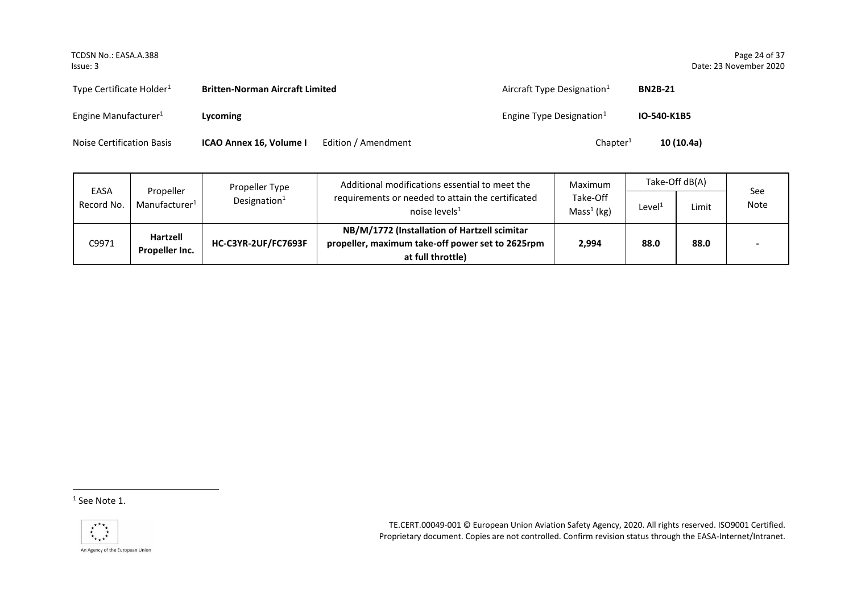| TCDSN No.: EASA.A.388<br>Issue: 3    |                                                |                                        | Page 24 of 37<br>Date: 23 November 2020 |
|--------------------------------------|------------------------------------------------|----------------------------------------|-----------------------------------------|
| Type Certificate Holder <sup>1</sup> | <b>Britten-Norman Aircraft Limited</b>         | Aircraft Type Designation <sup>1</sup> | <b>BN2B-21</b>                          |
| Engine Manufacturer <sup>1</sup>     | Lycoming                                       | Engine Type Designation <sup>1</sup>   | IO-540-K1B5                             |
| <b>Noise Certification Basis</b>     | Edition / Amendment<br>ICAO Annex 16, Volume I | Chapter <sup>1</sup>                   | 10(10.4a)                               |

| EASA       | Propeller                  | Propeller Type      | Additional modifications essential to meet the                                                                        | Maximum                  | Take-Off dB(A)     |       | See         |
|------------|----------------------------|---------------------|-----------------------------------------------------------------------------------------------------------------------|--------------------------|--------------------|-------|-------------|
| Record No. | Manufacturer <sup>1</sup>  | Designation $1$     | requirements or needed to attain the certificated<br>noise levels $1$                                                 | Take-Off<br>$Mass1$ (kg) | Level <sup>1</sup> | Limit | <b>Note</b> |
| C9971      | Hartzell<br>Propeller Inc. | HC-C3YR-2UF/FC7693F | NB/M/1772 (Installation of Hartzell scimitar<br>propeller, maximum take-off power set to 2625rpm<br>at full throttle) | 2,994                    | 88.0               | 88.0  |             |

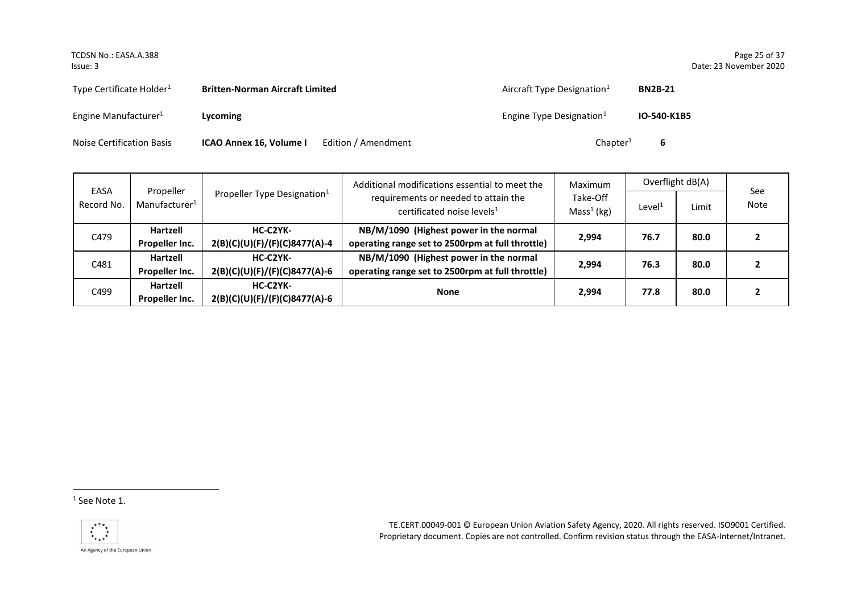| TCDSN No.: EASA.A.388<br>Issue: 3    |                                                       |                                        | Page 25 of 37<br>Date: 23 November 2020 |
|--------------------------------------|-------------------------------------------------------|----------------------------------------|-----------------------------------------|
| Type Certificate Holder <sup>1</sup> | <b>Britten-Norman Aircraft Limited</b>                | Aircraft Type Designation <sup>1</sup> | <b>BN2B-21</b>                          |
| Engine Manufacturer <sup>1</sup>     | Lycoming                                              | Engine Type Designation $1$            | IO-540-K1B5                             |
| Noise Certification Basis            | Edition / Amendment<br><b>ICAO Annex 16, Volume I</b> | Chapter <sup>1</sup>                   | 6                                       |

|                    |                                        |                                         | Additional modifications essential to meet the                                 |                                    | Overflight dB(A)   |       | See         |  |
|--------------------|----------------------------------------|-----------------------------------------|--------------------------------------------------------------------------------|------------------------------------|--------------------|-------|-------------|--|
| EASA<br>Record No. | Propeller<br>Manufacturer <sup>1</sup> | Propeller Type Designation <sup>1</sup> | requirements or needed to attain the<br>certificated noise levels <sup>1</sup> | Take-Off<br>Mass <sup>1</sup> (kg) | Level <sup>1</sup> | Limit | <b>Note</b> |  |
| C479               | Hartzell                               | HC-C2YK-                                | NB/M/1090 (Highest power in the normal                                         | 2,994                              | 76.7               | 80.0  |             |  |
|                    | Propeller Inc.                         | 2(B)(C)(U)(F)/(F)(C)8477(A)-4           | operating range set to 2500rpm at full throttle)                               |                                    |                    |       |             |  |
| C481               | Hartzell                               | HC-C2YK-                                | NB/M/1090 (Highest power in the normal                                         | 2,994                              | 76.3               | 80.0  |             |  |
|                    | Propeller Inc.                         | 2(B)(C)(U)(F)/(F)(C)8477(A)-6           | operating range set to 2500rpm at full throttle)                               |                                    |                    |       |             |  |
|                    | Hartzell                               | HC-C2YK-                                |                                                                                |                                    | 77.8               | 80.0  |             |  |
| C499               | Propeller Inc.                         | 2(B)(C)(U)(F)/(F)(C)8477(A)-6           | <b>None</b>                                                                    | 2.994                              |                    |       |             |  |

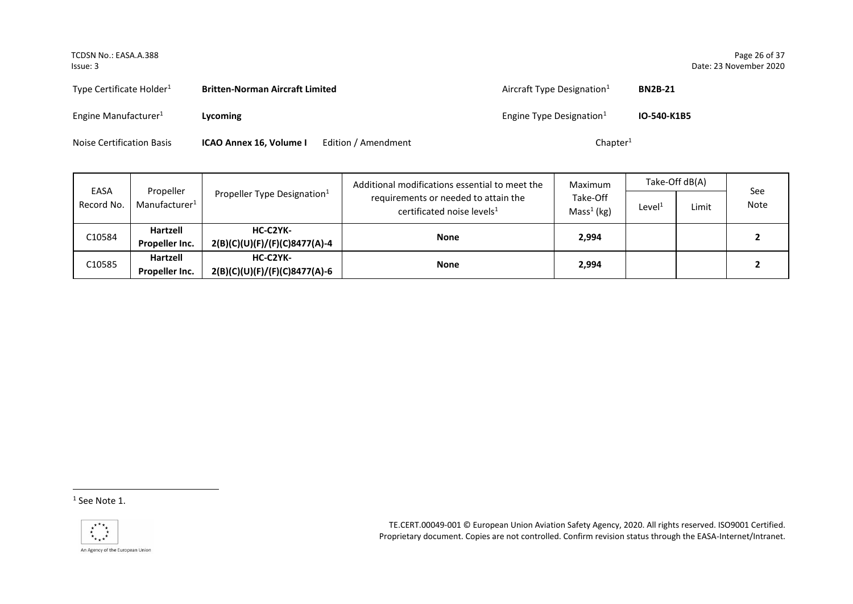| TCDSN No.: EASA.A.388<br>Issue: 3    |                                                |                                        | Page 26 of 37<br>Date: 23 November 2020 |
|--------------------------------------|------------------------------------------------|----------------------------------------|-----------------------------------------|
| Type Certificate Holder <sup>1</sup> | <b>Britten-Norman Aircraft Limited</b>         | Aircraft Type Designation <sup>1</sup> | <b>BN2B-21</b>                          |
| Engine Manufacturer <sup>1</sup>     | Lycoming                                       | Engine Type Designation $1$            | IO-540-K1B5                             |
| Noise Certification Basis            | Edition / Amendment<br>ICAO Annex 16, Volume I | Chapter <sup>1</sup>                   |                                         |

| EASA       | Propeller                 |                                         | Additional modifications essential to meet the                                 | Maximum                            | Take-Off dB(A)     | See   |      |
|------------|---------------------------|-----------------------------------------|--------------------------------------------------------------------------------|------------------------------------|--------------------|-------|------|
| Record No. | Manufacturer <sup>1</sup> | Propeller Type Designation <sup>1</sup> | requirements or needed to attain the<br>certificated noise levels <sup>1</sup> | Take-Off<br>Mass <sup>1</sup> (kg) | Level <sup>1</sup> | Limit | Note |
| C10584     | Hartzell                  | HC-C2YK-                                | <b>None</b>                                                                    | 2,994                              |                    |       |      |
|            | Propeller Inc.            | 2(B)(C)(U)(F)/(F)(C)8477(A)-4           |                                                                                |                                    |                    |       |      |
|            | Hartzell                  | HC-C2YK-                                |                                                                                |                                    |                    |       |      |
| C10585     | Propeller Inc.            | 2(B)(C)(U)(F)/(F)(C)8477(A)-6           | <b>None</b>                                                                    | 2,994                              |                    |       |      |

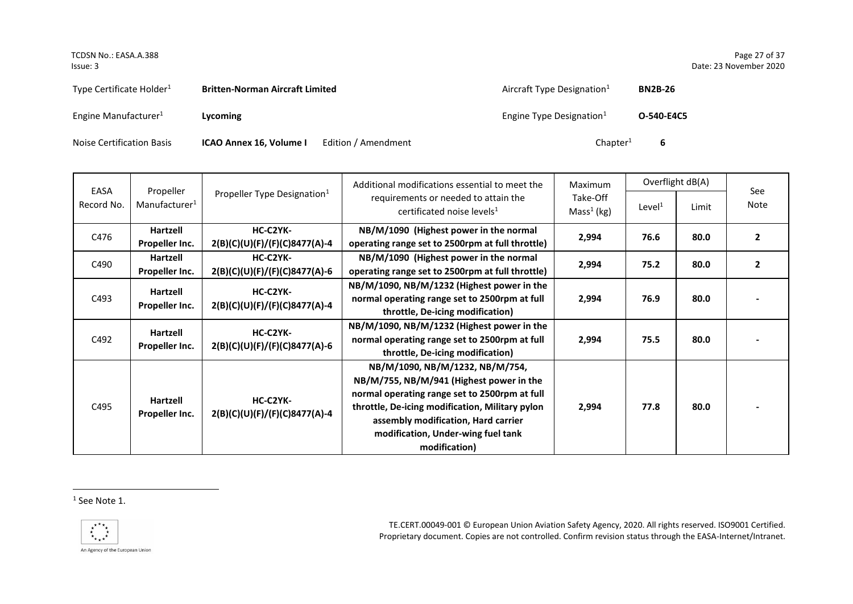| TCDSN No.: EASA.A.388<br>Issue: 3    |                                                |                                        | Page 27 of 37<br>Date: 23 November 2020 |
|--------------------------------------|------------------------------------------------|----------------------------------------|-----------------------------------------|
| Type Certificate Holder <sup>1</sup> | <b>Britten-Norman Aircraft Limited</b>         | Aircraft Type Designation <sup>1</sup> | <b>BN2B-26</b>                          |
| Engine Manufacturer <sup>1</sup>     | Lycoming                                       | Engine Type Designation <sup>1</sup>   | O-540-E4C5                              |
| Noise Certification Basis            | Edition / Amendment<br>ICAO Annex 16, Volume I | Chapter <sup>1</sup>                   | 6                                       |

|                    |                                        |                                                 | Additional modifications essential to meet the                                 | Maximum                            | Overflight dB(A)   |       |              |
|--------------------|----------------------------------------|-------------------------------------------------|--------------------------------------------------------------------------------|------------------------------------|--------------------|-------|--------------|
| EASA<br>Record No. | Propeller<br>Manufacturer <sup>1</sup> | Propeller Type Designation <sup>1</sup>         | requirements or needed to attain the<br>certificated noise levels <sup>1</sup> | Take-Off<br>Mass <sup>1</sup> (kg) | Level <sup>1</sup> | Limit | See<br>Note  |
| C476               | Hartzell                               | HC-C2YK-                                        | NB/M/1090 (Highest power in the normal                                         | 2,994                              | 76.6               | 80.0  | $\mathbf{2}$ |
|                    | Propeller Inc.                         | 2(B)(C)(U)(F)/(F)(C)8477(A)-4                   | operating range set to 2500rpm at full throttle)                               |                                    |                    |       |              |
| C490               | Hartzell                               | HC-C2YK-                                        | NB/M/1090 (Highest power in the normal                                         |                                    | 75.2               | 80.0  | $\mathbf{2}$ |
|                    | Propeller Inc.                         | $2(B)(C)(U)(F)/(F)(C)8477(A)-6$                 | operating range set to 2500rpm at full throttle)                               | 2,994                              |                    |       |              |
|                    |                                        | HC-C2YK-                                        | NB/M/1090, NB/M/1232 (Highest power in the                                     |                                    |                    |       |              |
| C493               | Hartzell<br>Propeller Inc.             | 2(B)(C)(U)(F)/(F)(C)8477(A)-4                   | normal operating range set to 2500rpm at full                                  | 2,994                              | 76.9               | 80.0  |              |
|                    |                                        |                                                 | throttle, De-icing modification)                                               |                                    |                    |       |              |
|                    |                                        |                                                 | NB/M/1090, NB/M/1232 (Highest power in the                                     |                                    |                    |       |              |
| C492               | Hartzell                               | HC-C2YK-                                        | normal operating range set to 2500rpm at full                                  | 2,994                              | 75.5               | 80.0  |              |
|                    | Propeller Inc.                         | 2(B)(C)(U)(F)/(F)(C)8477(A)-6                   | throttle, De-icing modification)                                               |                                    |                    |       |              |
|                    |                                        |                                                 | NB/M/1090, NB/M/1232, NB/M/754,                                                |                                    |                    |       |              |
|                    |                                        |                                                 | NB/M/755, NB/M/941 (Highest power in the                                       |                                    |                    |       |              |
|                    |                                        |                                                 | normal operating range set to 2500rpm at full                                  |                                    |                    |       |              |
| C495               | Hartzell                               | HC-C2YK-                                        | throttle, De-icing modification, Military pylon                                | 2,994                              | 77.8               | 80.0  |              |
|                    |                                        | 2(B)(C)(U)(F)/(F)(C)8477(A)-4<br>Propeller Inc. | assembly modification, Hard carrier                                            |                                    |                    |       |              |
|                    |                                        |                                                 | modification, Under-wing fuel tank                                             |                                    |                    |       |              |
|                    |                                        |                                                 | modification)                                                                  |                                    |                    |       |              |

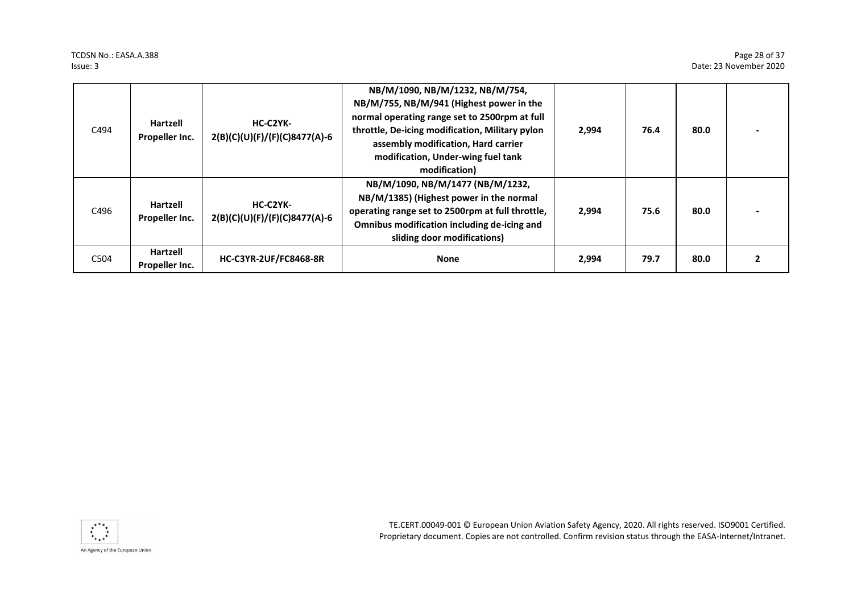TCDSN No.: EASA.A.388 Page 28 of 37

| C494 | Hartzell<br>Propeller Inc. | HC-C2YK-<br>$2(B)(C)(U)(F)/(F)(C)8477(A)-6$ | NB/M/1090, NB/M/1232, NB/M/754,<br>NB/M/755, NB/M/941 (Highest power in the<br>normal operating range set to 2500rpm at full<br>throttle, De-icing modification, Military pylon<br>assembly modification, Hard carrier<br>modification, Under-wing fuel tank<br>modification) | 2,994 | 76.4 | 80.0 |  |
|------|----------------------------|---------------------------------------------|-------------------------------------------------------------------------------------------------------------------------------------------------------------------------------------------------------------------------------------------------------------------------------|-------|------|------|--|
| C496 | Hartzell<br>Propeller Inc. | HC-C2YK-<br>$2(B)(C)(U)(F)/(F)(C)8477(A)-6$ | NB/M/1090, NB/M/1477 (NB/M/1232,<br>NB/M/1385) (Highest power in the normal<br>operating range set to 2500rpm at full throttle,<br>Omnibus modification including de-icing and<br>sliding door modifications)                                                                 | 2,994 | 75.6 | 80.0 |  |
| C504 | Hartzell<br>Propeller Inc. | <b>HC-C3YR-2UF/FC8468-8R</b>                | <b>None</b>                                                                                                                                                                                                                                                                   | 2,994 | 79.7 | 80.0 |  |

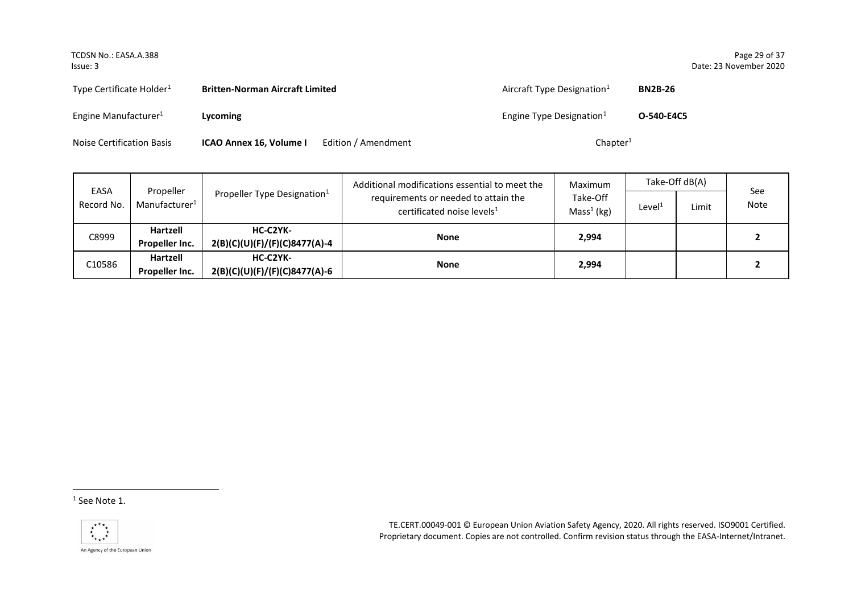| TCDSN No.: EASA.A.388<br>Issue: 3    |                                                |                                        | Page 29 of 37<br>Date: 23 November 2020 |
|--------------------------------------|------------------------------------------------|----------------------------------------|-----------------------------------------|
| Type Certificate Holder <sup>1</sup> | <b>Britten-Norman Aircraft Limited</b>         | Aircraft Type Designation <sup>1</sup> | <b>BN2B-26</b>                          |
| Engine Manufacturer <sup>1</sup>     | Lycoming                                       | Engine Type Designation $1$            | O-540-E4C5                              |
| Noise Certification Basis            | Edition / Amendment<br>ICAO Annex 16, Volume I | Chapter <sup>1</sup>                   |                                         |

| EASA       | Propeller                 |                                         | Additional modifications essential to meet the                                 | Maximum                            | Take-Off dB(A)     |       |             |
|------------|---------------------------|-----------------------------------------|--------------------------------------------------------------------------------|------------------------------------|--------------------|-------|-------------|
| Record No. | Manufacturer <sup>1</sup> | Propeller Type Designation <sup>1</sup> | requirements or needed to attain the<br>certificated noise levels <sup>1</sup> | Take-Off<br>Mass <sup>1</sup> (kg) | Level <sup>1</sup> | Limit | See<br>Note |
| C8999      | Hartzell                  | HC-C2YK-                                | <b>None</b>                                                                    | 2,994                              |                    |       |             |
|            | Propeller Inc.            | 2(B)(C)(U)(F)/(F)(C)8477(A)-4           |                                                                                |                                    |                    |       |             |
|            | Hartzell                  | HC-C2YK-                                |                                                                                | 2,994                              |                    |       |             |
| C10586     | Propeller Inc.            | 2(B)(C)(U)(F)/(F)(C)8477(A)-6           | <b>None</b>                                                                    |                                    |                    |       |             |

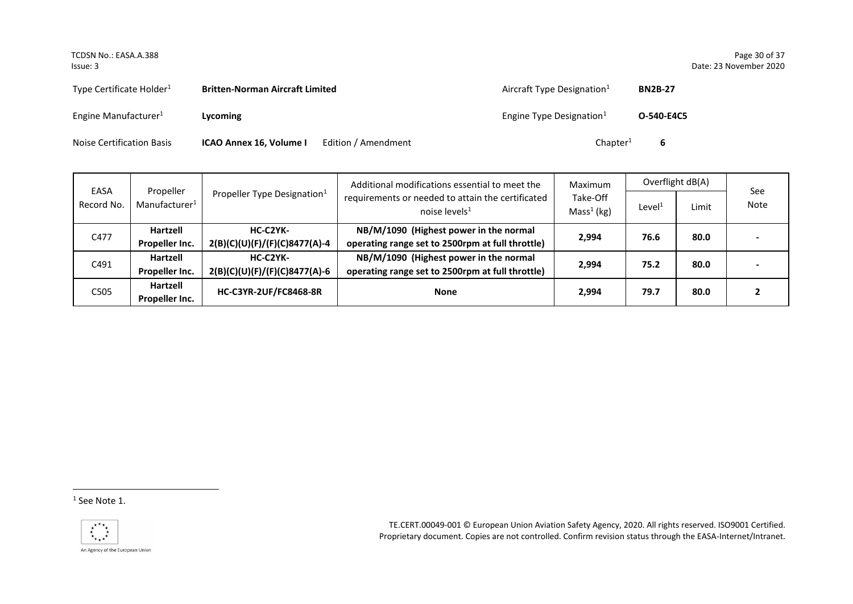| TCDSN No.: EASA.A.388<br>Issue: 3    |                                                |                                        | Page 30 of 37<br>Date: 23 November 2020 |
|--------------------------------------|------------------------------------------------|----------------------------------------|-----------------------------------------|
| Type Certificate Holder <sup>1</sup> | <b>Britten-Norman Aircraft Limited</b>         | Aircraft Type Designation <sup>1</sup> | <b>BN2B-27</b>                          |
| Engine Manufacturer <sup>1</sup>     | Lycoming                                       | Engine Type Designation <sup>1</sup>   | O-540-E4C5                              |
| Noise Certification Basis            | Edition / Amendment<br>ICAO Annex 16, Volume I | Chapter <sup>1</sup>                   | 6                                       |

| EASA       | Propeller                  |                                           | Additional modifications essential to meet the                                             | Maximum                            |                    | Overflight dB(A) |             |
|------------|----------------------------|-------------------------------------------|--------------------------------------------------------------------------------------------|------------------------------------|--------------------|------------------|-------------|
| Record No. | Manufacturer <sup>1</sup>  | Propeller Type Designation <sup>1</sup>   | requirements or needed to attain the certificated<br>noise levels <sup>1</sup>             | Take-Off<br>Mass <sup>1</sup> (kg) | Level <sup>1</sup> | Limit            | See<br>Note |
| C477       | Hartzell<br>Propeller Inc. | HC-C2YK-<br>2(B)(C)(U)(F)/(F)(C)8477(A)-4 | NB/M/1090 (Highest power in the normal<br>operating range set to 2500rpm at full throttle) | 2,994                              | 76.6               | 80.0             |             |
| C491       | Hartzell<br>Propeller Inc. | HC-C2YK-<br>2(B)(C)(U)(F)/(F)(C)8477(A)-6 | NB/M/1090 (Highest power in the normal<br>operating range set to 2500rpm at full throttle) | 2,994                              | 75.2               | 80.0             |             |
| C505       | Hartzell<br>Propeller Inc. | <b>HC-C3YR-2UF/FC8468-8R</b>              | <b>None</b>                                                                                | 2.994                              | 79.7               | 80.0             |             |

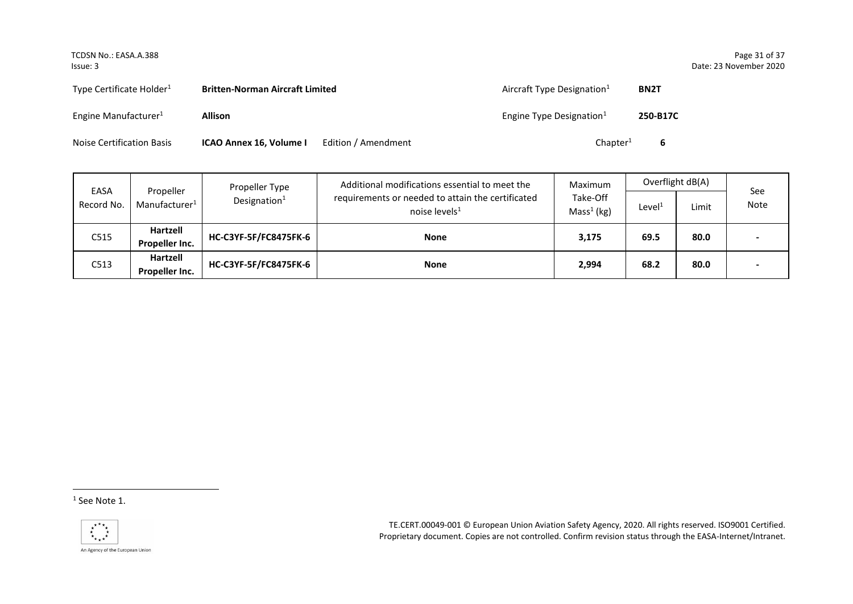| TCDSN No.: EASA.A.388<br>Issue: 3    |                                                |                                        |             | Page 31 of 37<br>Date: 23 November 2020 |
|--------------------------------------|------------------------------------------------|----------------------------------------|-------------|-----------------------------------------|
| Type Certificate Holder <sup>1</sup> | <b>Britten-Norman Aircraft Limited</b>         | Aircraft Type Designation <sup>1</sup> | <b>BN2T</b> |                                         |
| Engine Manufacturer <sup>1</sup>     | <b>Allison</b>                                 | Engine Type Designation $1$            | 250-B17C    |                                         |
| <b>Noise Certification Basis</b>     | Edition / Amendment<br>ICAO Annex 16, Volume I | Chapter <sup>1</sup>                   | 6           |                                         |

| EASA       | Propeller                         | Propeller Type               | Additional modifications essential to meet the                                 | <b>Maximum</b>                     | Overflight dB(A)   |       |             |
|------------|-----------------------------------|------------------------------|--------------------------------------------------------------------------------|------------------------------------|--------------------|-------|-------------|
| Record No. | Manufacturer <sup>1</sup>         | Designation $1$              | requirements or needed to attain the certificated<br>noise levels <sup>1</sup> | Take-Off<br>Mass <sup>1</sup> (kg) | Level <sup>1</sup> | Limit | See<br>Note |
| C515       | Hartzell<br><b>Propeller Inc.</b> | <b>HC-C3YF-5F/FC8475FK-6</b> | <b>None</b>                                                                    | 3,175                              | 69.5               | 80.0  |             |
| C513       | Hartzell<br><b>Propeller Inc.</b> | <b>HC-C3YF-5F/FC8475FK-6</b> | <b>None</b>                                                                    | 2,994                              | 68.2               | 80.0  |             |

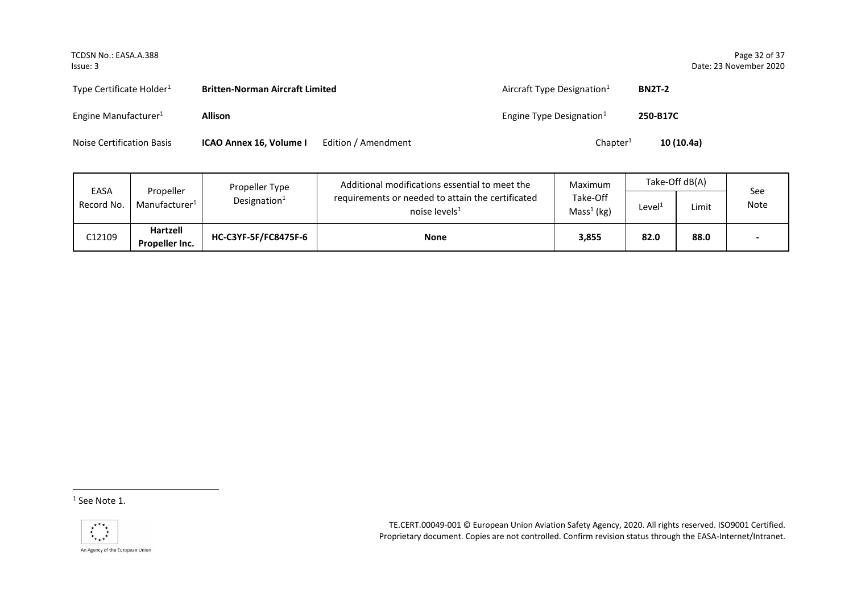| TCDSN No.: EASA.A.388<br>Issue: 3    |                                                |                                        | Page 32 of 37<br>Date: 23 November 2020 |
|--------------------------------------|------------------------------------------------|----------------------------------------|-----------------------------------------|
| Type Certificate Holder <sup>1</sup> | <b>Britten-Norman Aircraft Limited</b>         | Aircraft Type Designation <sup>1</sup> | <b>BN2T-2</b>                           |
| Engine Manufacturer <sup>1</sup>     | <b>Allison</b>                                 | Engine Type Designation <sup>1</sup>   | 250-B17C                                |
| Noise Certification Basis            | Edition / Amendment<br>ICAO Annex 16, Volume I | Chapter <sup>1</sup>                   | 10 (10.4a)                              |

| EASA       | Propeller                         | Propeller Type              | Additional modifications essential to meet the                                 | Maximum                            | Take-Off dB(A)     |       |             |
|------------|-----------------------------------|-----------------------------|--------------------------------------------------------------------------------|------------------------------------|--------------------|-------|-------------|
| Record No. | Manufacturer <sup>1</sup>         | Designation $1$             | requirements or needed to attain the certificated<br>noise levels <sup>1</sup> | Take-Off<br>Mass <sup>1</sup> (kg) | Level <sup>1</sup> | Limit | See<br>Note |
| C12109     | Hartzell<br><b>Propeller Inc.</b> | <b>HC-C3YF-5F/FC8475F-6</b> | <b>None</b>                                                                    | 3,855                              | 82.0               | 88.0  |             |

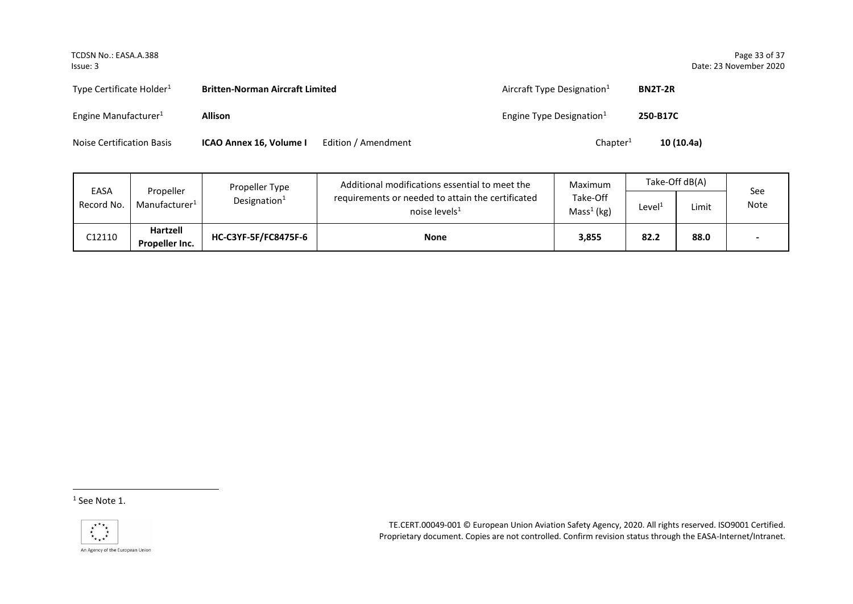| TCDSN No.: EASA.A.388<br>Issue: 3    |                                                |                                        | Page 33 of 37<br>Date: 23 November 2020 |
|--------------------------------------|------------------------------------------------|----------------------------------------|-----------------------------------------|
| Type Certificate Holder <sup>1</sup> | <b>Britten-Norman Aircraft Limited</b>         | Aircraft Type Designation <sup>1</sup> | <b>BN2T-2R</b>                          |
| Engine Manufacturer <sup>1</sup>     | Allison                                        | Engine Type Designation <sup>1</sup>   | 250-B17C                                |
| Noise Certification Basis            | Edition / Amendment<br>ICAO Annex 16, Volume I | Chapter <sup>1</sup>                   | 10(10.4a)                               |

|            |                                                                                                                                                     | Propeller Type                     | Additional modifications essential to meet the | Maximum | Take-Off dB(A) |      | See<br>Note |
|------------|-----------------------------------------------------------------------------------------------------------------------------------------------------|------------------------------------|------------------------------------------------|---------|----------------|------|-------------|
| Record No. | EASA<br>Propeller<br>requirements or needed to attain the certificated<br>Designation $1$<br>Manufacturer <sup>1</sup><br>noise levels <sup>1</sup> | Take-Off<br>Mass <sup>1</sup> (kg) | Level <sup>1</sup>                             | Limit   |                |      |             |
| C12110     | Hartzell<br><b>Propeller Inc.</b>                                                                                                                   | <b>HC-C3YF-5F/FC8475F-6</b>        | <b>None</b>                                    | 3,855   | 82.2           | 88.0 |             |

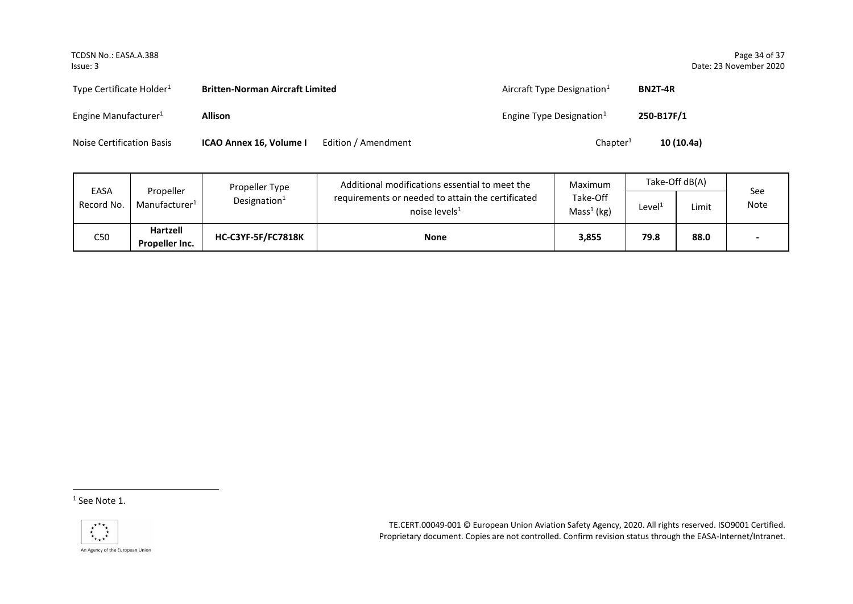| TCDSN No.: EASA.A.388<br>Issue: 3    |                                                |                                        | Page 34 of 37<br>Date: 23 November 2020 |
|--------------------------------------|------------------------------------------------|----------------------------------------|-----------------------------------------|
| Type Certificate Holder <sup>1</sup> | <b>Britten-Norman Aircraft Limited</b>         | Aircraft Type Designation <sup>1</sup> | <b>BN2T-4R</b>                          |
| Engine Manufacturer <sup>1</sup>     | Allison                                        | Engine Type Designation <sup>1</sup>   | 250-B17F/1                              |
| Noise Certification Basis            | Edition / Amendment<br>ICAO Annex 16, Volume I | Chapter <sup>1</sup>                   | 10 (10.4a)                              |

|            |                                                                                                                                                            | Propeller Type                     | Additional modifications essential to meet the |       | Take-Off dB(A) |      |  |
|------------|------------------------------------------------------------------------------------------------------------------------------------------------------------|------------------------------------|------------------------------------------------|-------|----------------|------|--|
| Record No. | <b>EASA</b><br>Propeller<br>requirements or needed to attain the certificated<br>Designation $1$<br>Manufacturer <sup>1</sup><br>noise levels <sup>1</sup> | Take-Off<br>Mass <sup>1</sup> (kg) | Level <sup>1</sup>                             | Limit | See<br>Note    |      |  |
| C50        | Hartzell<br><b>Propeller Inc.</b>                                                                                                                          | <b>HC-C3YF-5F/FC7818K</b>          | <b>None</b>                                    | 3,855 | 79.8           | 88.0 |  |

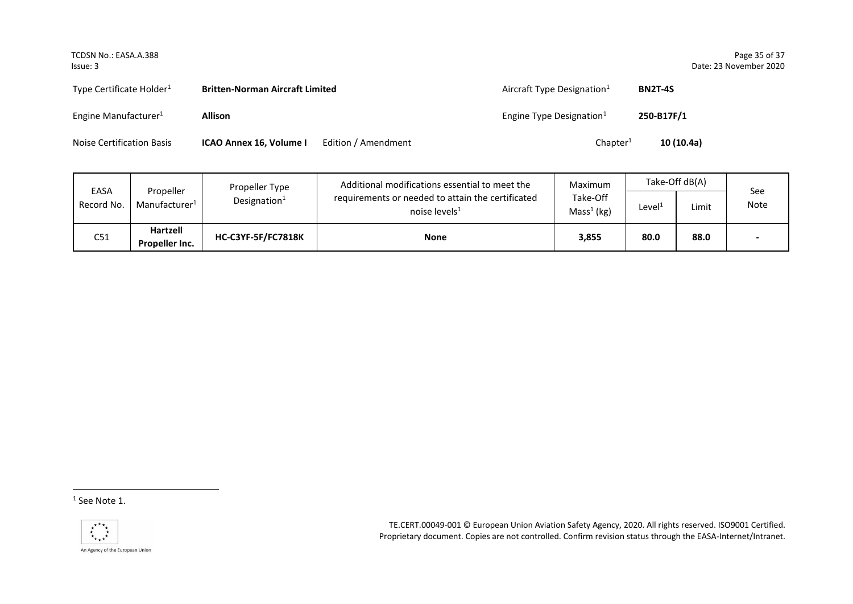| TCDSN No.: EASA.A.388<br>Issue: 3    |                                                |                                        | Page 35 of 37<br>Date: 23 November 2020 |
|--------------------------------------|------------------------------------------------|----------------------------------------|-----------------------------------------|
| Type Certificate Holder <sup>1</sup> | <b>Britten-Norman Aircraft Limited</b>         | Aircraft Type Designation <sup>1</sup> | <b>BN2T-4S</b>                          |
| Engine Manufacturer <sup>1</sup>     | Allison                                        | Engine Type Designation <sup>1</sup>   | 250-B17F/1                              |
| Noise Certification Basis            | Edition / Amendment<br>ICAO Annex 16, Volume I | Chapter <sup>1</sup>                   | 10 (10.4a)                              |

|                                                                                                                                                                   |                                    | Propeller Type            | Additional modifications essential to meet the | Maximum     | Take-Off dB(A) |      |                          |
|-------------------------------------------------------------------------------------------------------------------------------------------------------------------|------------------------------------|---------------------------|------------------------------------------------|-------------|----------------|------|--------------------------|
| EASA<br>Propeller<br>requirements or needed to attain the certificated<br>Designation $1$<br>Manufacturer <sup>1</sup><br>Record No.<br>noise levels <sup>1</sup> | Take-Off<br>Mass <sup>1</sup> (kg) | Level <sup>1</sup>        | Limit                                          | See<br>Note |                |      |                          |
| C <sub>51</sub>                                                                                                                                                   | Hartzell<br><b>Propeller Inc.</b>  | <b>HC-C3YF-5F/FC7818K</b> | <b>None</b>                                    | 3,855       | 80.0           | 88.0 | $\overline{\phantom{0}}$ |

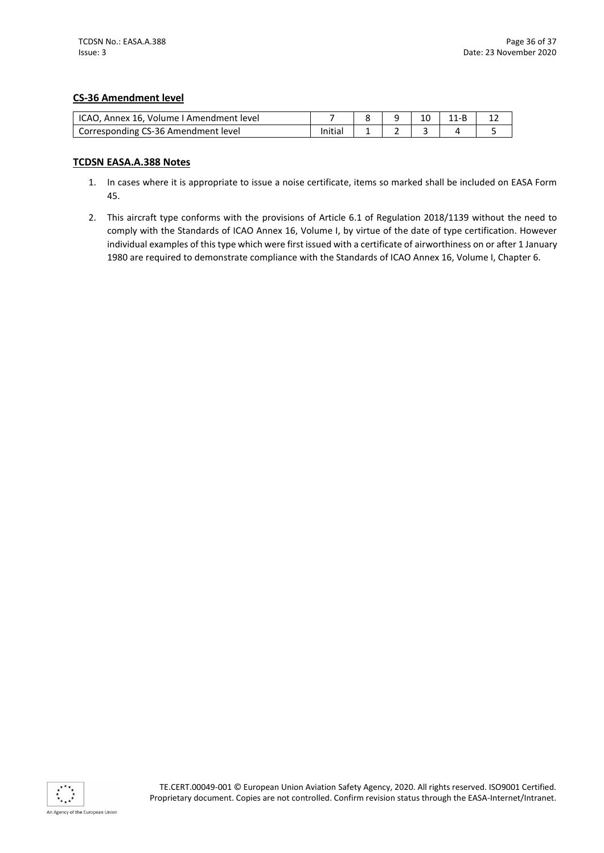### **CS-36 Amendment level**

| ICAO, Annex 16, Volume I Amendment level_ |  |  | 10 | 1 – H |  |
|-------------------------------------------|--|--|----|-------|--|
| Corresponding CS-36 Amendment level       |  |  |    |       |  |

### **TCDSN EASA.A.388 Notes**

- 1. In cases where it is appropriate to issue a noise certificate, items so marked shall be included on EASA Form 45.
- 2. This aircraft type conforms with the provisions of Article 6.1 of Regulation 2018/1139 without the need to comply with the Standards of ICAO Annex 16, Volume I, by virtue of the date of type certification. However individual examples of this type which were first issued with a certificate of airworthiness on or after 1 January 1980 are required to demonstrate compliance with the Standards of ICAO Annex 16, Volume I, Chapter 6.